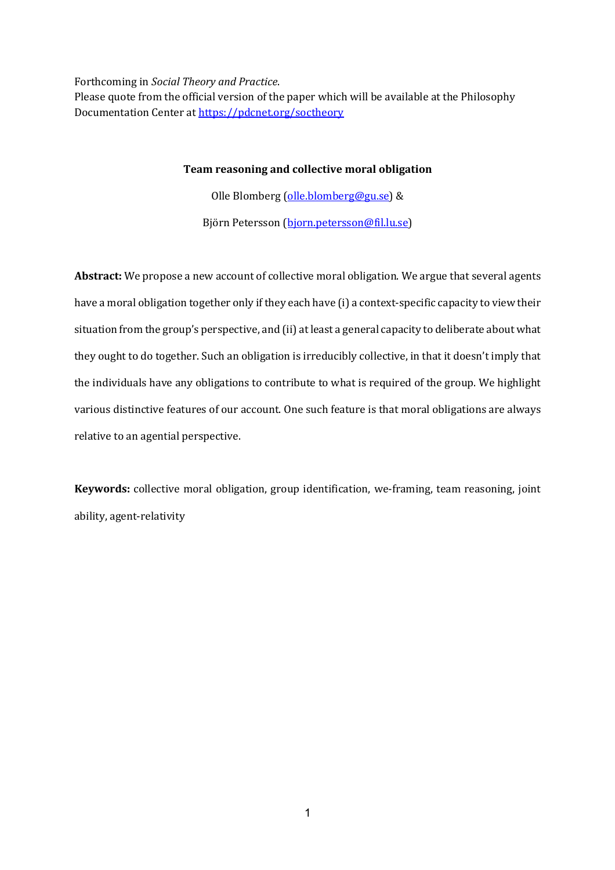Forthcoming in *Social Theory and Practice*.

Please quote from the official version of the paper which will be available at the Philosophy Documentation Center at https://pdcnet.org/soctheory

# **Team reasoning and collective moral obligation**

Olle Blomberg (olle.blomberg@gu.se) &

Björn Petersson (bjorn.petersson@fil.lu.se)

Abstract: We propose a new account of collective moral obligation. We argue that several agents have a moral obligation together only if they each have (i) a context-specific capacity to view their situation from the group's perspective, and (ii) at least a general capacity to deliberate about what they ought to do together. Such an obligation is irreducibly collective, in that it doesn't imply that the individuals have any obligations to contribute to what is required of the group. We highlight various distinctive features of our account. One such feature is that moral obligations are always relative to an agential perspective.

**Keywords:** collective moral obligation, group identification, we-framing, team reasoning, joint ability, agent-relativity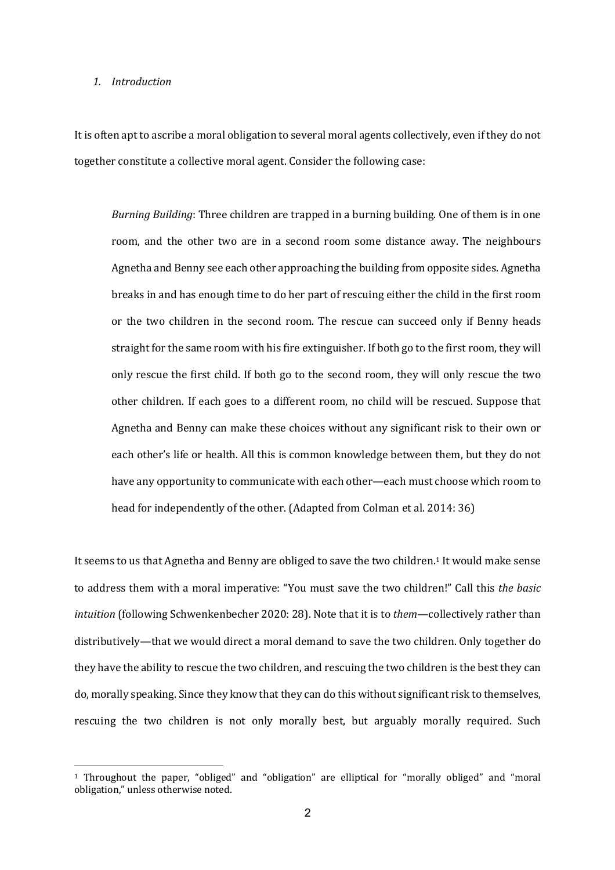### *1. Introduction*

It is often apt to ascribe a moral obligation to several moral agents collectively, even if they do not together constitute a collective moral agent. Consider the following case:

*Burning Building*: Three children are trapped in a burning building. One of them is in one room, and the other two are in a second room some distance away. The neighbours Agnetha and Benny see each other approaching the building from opposite sides. Agnetha breaks in and has enough time to do her part of rescuing either the child in the first room or the two children in the second room. The rescue can succeed only if Benny heads straight for the same room with his fire extinguisher. If both go to the first room, they will only rescue the first child. If both go to the second room, they will only rescue the two other children. If each goes to a different room, no child will be rescued. Suppose that Agnetha and Benny can make these choices without any significant risk to their own or each other's life or health. All this is common knowledge between them, but they do not have any opportunity to communicate with each other—each must choose which room to head for independently of the other. (Adapted from Colman et al. 2014: 36)

It seems to us that Agnetha and Benny are obliged to save the two children.<sup>1</sup> It would make sense to address them with a moral imperative: "You must save the two children!" Call this *the basic intuition* (following Schwenkenbecher 2020: 28). Note that it is to *them*—collectively rather than distributively—that we would direct a moral demand to save the two children. Only together do they have the ability to rescue the two children, and rescuing the two children is the best they can do, morally speaking. Since they know that they can do this without significant risk to themselves, rescuing the two children is not only morally best, but arguably morally required. Such

<sup>&</sup>lt;sup>1</sup> Throughout the paper, "obliged" and "obligation" are elliptical for "morally obliged" and "moral obligation," unless otherwise noted.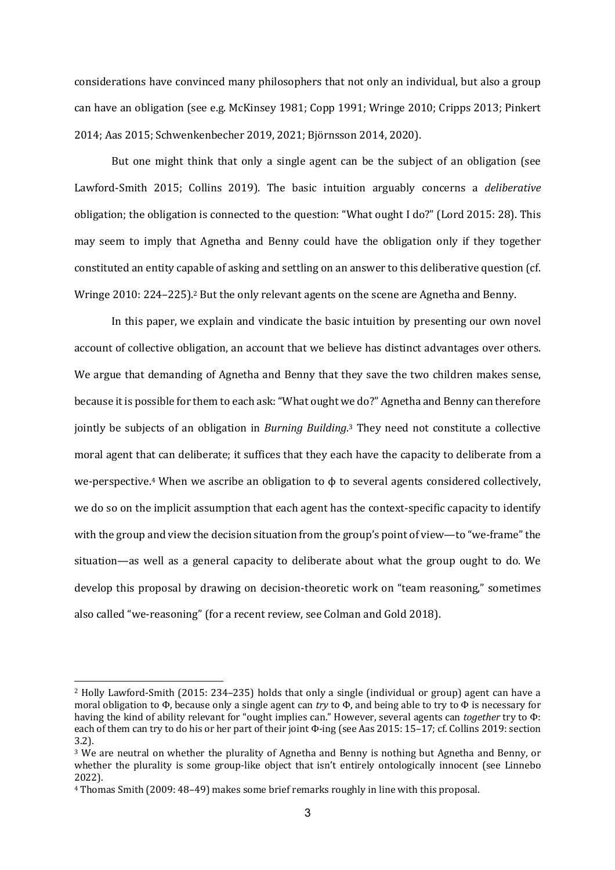considerations have convinced many philosophers that not only an individual, but also a group can have an obligation (see e.g. McKinsey 1981; Copp 1991; Wringe 2010; Cripps 2013; Pinkert 2014; Aas 2015; Schwenkenbecher 2019, 2021; Björnsson 2014, 2020).

But one might think that only a single agent can be the subject of an obligation (see Lawford-Smith 2015; Collins 2019). The basic intuition arguably concerns a *deliberative* obligation; the obligation is connected to the question: "What ought I do?" (Lord 2015: 28). This may seem to imply that Agnetha and Benny could have the obligation only if they together constituted an entity capable of asking and settling on an answer to this deliberative question (cf. Wringe 2010: 224–225).<sup>2</sup> But the only relevant agents on the scene are Agnetha and Benny.

In this paper, we explain and vindicate the basic intuition by presenting our own novel account of collective obligation, an account that we believe has distinct advantages over others. We argue that demanding of Agnetha and Benny that they save the two children makes sense, because it is possible for them to each ask: "What ought we do?" Agnetha and Benny can therefore jointly be subjects of an obligation in *Burning Building*.<sup>3</sup> They need not constitute a collective moral agent that can deliberate; it suffices that they each have the capacity to deliberate from a we-perspective.<sup>4</sup> When we ascribe an obligation to  $\phi$  to several agents considered collectively, we do so on the implicit assumption that each agent has the context-specific capacity to identify with the group and view the decision situation from the group's point of view—to "we-frame" the situation—as well as a general capacity to deliberate about what the group ought to do. We develop this proposal by drawing on decision-theoretic work on "team reasoning," sometimes also called "we-reasoning" (for a recent review, see Colman and Gold 2018).

 $2$  Holly Lawford-Smith (2015: 234–235) holds that only a single (individual or group) agent can have a moral obligation to  $\Phi$ , because only a single agent can *try* to  $\Phi$ , and being able to try to  $\Phi$  is necessary for having the kind of ability relevant for "ought implies can." However, several agents can *together* try to Φ: each of them can try to do his or her part of their joint Φ-ing (see Aas 2015: 15–17; cf. Collins 2019: section 3.2).

 $3$  We are neutral on whether the plurality of Agnetha and Benny is nothing but Agnetha and Benny, or whether the plurality is some group-like object that  $\sin'$  entirely ontologically innocent (see Linnebo) 2022).

<sup>&</sup>lt;sup>4</sup> Thomas Smith (2009: 48–49) makes some brief remarks roughly in line with this proposal.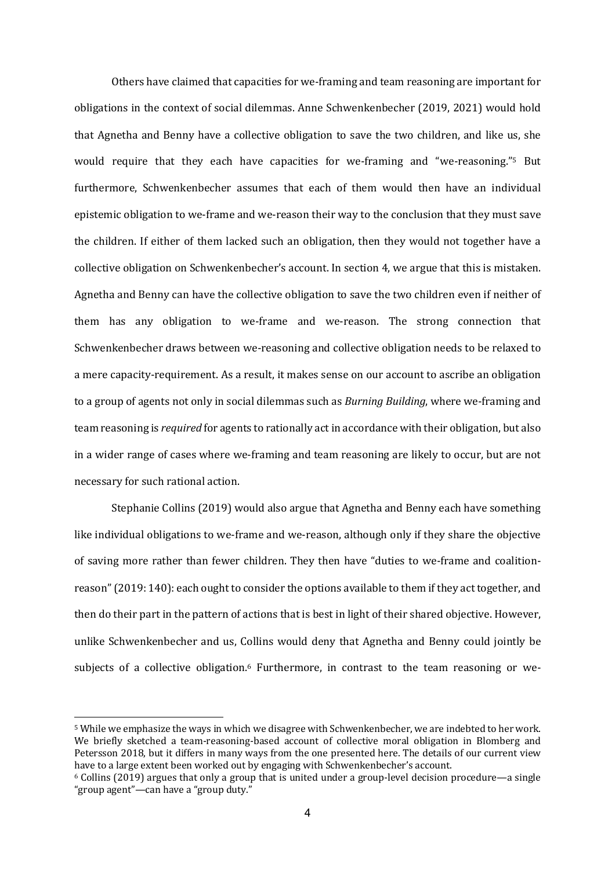Others have claimed that capacities for we-framing and team reasoning are important for obligations in the context of social dilemmas. Anne Schwenkenbecher (2019, 2021) would hold that Agnetha and Benny have a collective obligation to save the two children, and like us, she would require that they each have capacities for we-framing and "we-reasoning."<sup>5</sup> But furthermore. Schwenkenbecher assumes that each of them would then have an individual epistemic obligation to we-frame and we-reason their way to the conclusion that they must save the children. If either of them lacked such an obligation, then they would not together have a collective obligation on Schwenkenbecher's account. In section 4, we argue that this is mistaken. Agnetha and Benny can have the collective obligation to save the two children even if neither of them has any obligation to we-frame and we-reason. The strong connection that Schwenkenbecher draws between we-reasoning and collective obligation needs to be relaxed to a mere capacity-requirement. As a result, it makes sense on our account to ascribe an obligation to a group of agents not only in social dilemmas such as *Burning Building*, where we-framing and team reasoning is *required* for agents to rationally act in accordance with their obligation, but also in a wider range of cases where we-framing and team reasoning are likely to occur, but are not necessary for such rational action.

Stephanie Collins (2019) would also argue that Agnetha and Benny each have something like individual obligations to we-frame and we-reason, although only if they share the objective of saving more rather than fewer children. They then have "duties to we-frame and coalitionreason" (2019: 140): each ought to consider the options available to them if they act together, and then do their part in the pattern of actions that is best in light of their shared objective. However, unlike Schwenkenbecher and us, Collins would deny that Agnetha and Benny could jointly be subjects of a collective obligation.<sup>6</sup> Furthermore, in contrast to the team reasoning or we-

<sup>&</sup>lt;sup>5</sup> While we emphasize the ways in which we disagree with Schwenkenbecher, we are indebted to her work. We briefly sketched a team-reasoning-based account of collective moral obligation in Blomberg and Petersson 2018, but it differs in many ways from the one presented here. The details of our current view have to a large extent been worked out by engaging with Schwenkenbecher's account.

 $6$  Collins (2019) argues that only a group that is united under a group-level decision procedure—a single "group agent"—can have a "group duty."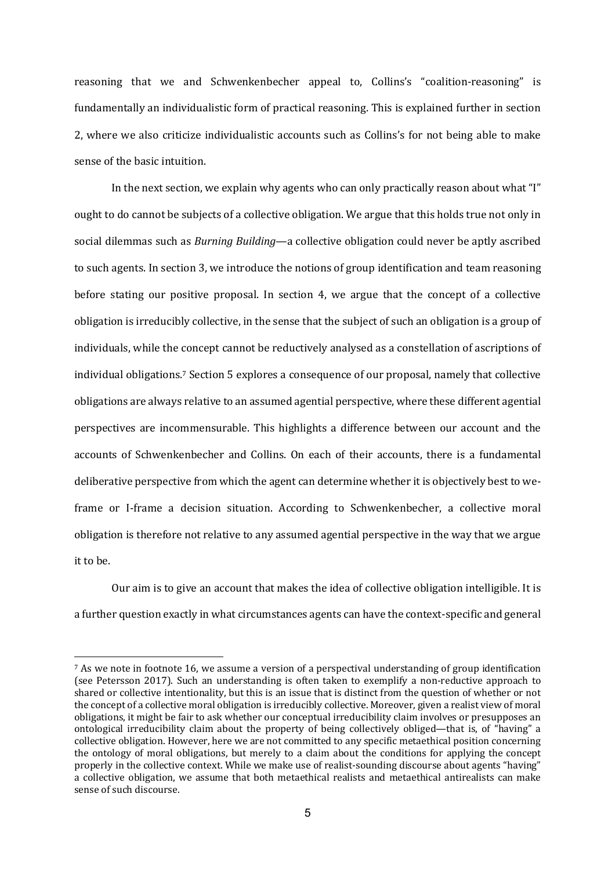reasoning that we and Schwenkenbecher appeal to, Collins's "coalition-reasoning" is fundamentally an individualistic form of practical reasoning. This is explained further in section 2, where we also criticize individualistic accounts such as Collins's for not being able to make sense of the basic intuition.

In the next section, we explain why agents who can only practically reason about what "I" ought to do cannot be subjects of a collective obligation. We argue that this holds true not only in social dilemmas such as *Burning Building*—a collective obligation could never be aptly ascribed to such agents. In section 3, we introduce the notions of group identification and team reasoning before stating our positive proposal. In section 4, we argue that the concept of a collective obligation is irreducibly collective, in the sense that the subject of such an obligation is a group of individuals, while the concept cannot be reductively analysed as a constellation of ascriptions of individual obligations.<sup>7</sup> Section 5 explores a consequence of our proposal, namely that collective obligations are always relative to an assumed agential perspective, where these different agential perspectives are incommensurable. This highlights a difference between our account and the accounts of Schwenkenbecher and Collins. On each of their accounts, there is a fundamental deliberative perspective from which the agent can determine whether it is objectively best to weframe or I-frame a decision situation. According to Schwenkenbecher, a collective moral obligation is therefore not relative to any assumed agential perspective in the way that we argue it to be.

Our aim is to give an account that makes the idea of collective obligation intelligible. It is a further question exactly in what circumstances agents can have the context-specific and general

<sup>&</sup>lt;sup>7</sup> As we note in footnote 16, we assume a version of a perspectival understanding of group identification (see Petersson 2017). Such an understanding is often taken to exemplify a non-reductive approach to shared or collective intentionality, but this is an issue that is distinct from the question of whether or not the concept of a collective moral obligation is irreducibly collective. Moreover, given a realist view of moral obligations, it might be fair to ask whether our conceptual irreducibility claim involves or presupposes an ontological irreducibility claim about the property of being collectively obliged—that is, of "having" a collective obligation. However, here we are not committed to any specific metaethical position concerning the ontology of moral obligations, but merely to a claim about the conditions for applying the concept properly in the collective context. While we make use of realist-sounding discourse about agents "having" a collective obligation, we assume that both metaethical realists and metaethical antirealists can make sense of such discourse.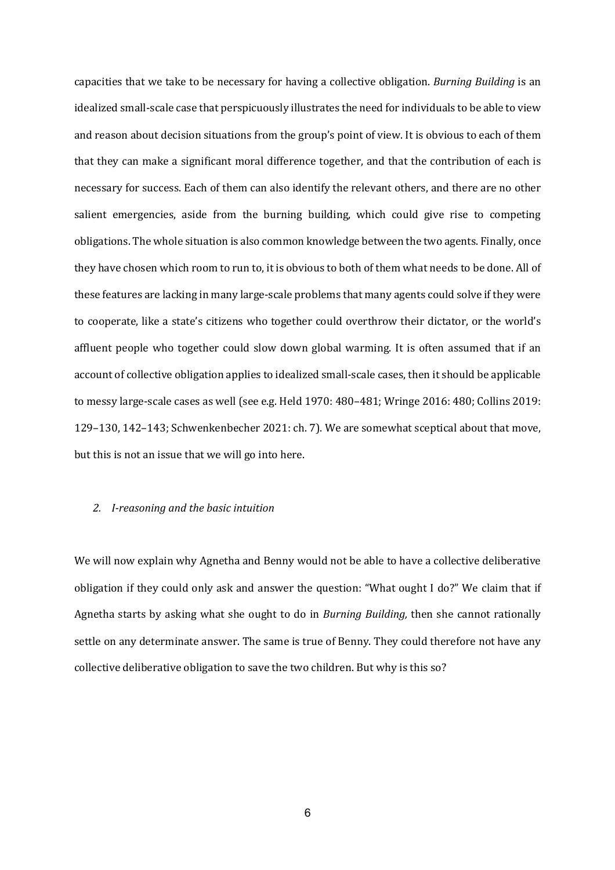capacities that we take to be necessary for having a collective obligation. *Burning Building* is an idealized small-scale case that perspicuously illustrates the need for individuals to be able to view and reason about decision situations from the group's point of view. It is obvious to each of them that they can make a significant moral difference together, and that the contribution of each is necessary for success. Each of them can also identify the relevant others, and there are no other salient emergencies, aside from the burning building, which could give rise to competing obligations. The whole situation is also common knowledge between the two agents. Finally, once they have chosen which room to run to, it is obvious to both of them what needs to be done. All of these features are lacking in many large-scale problems that many agents could solve if they were to cooperate, like a state's citizens who together could overthrow their dictator, or the world's affluent people who together could slow down global warming. It is often assumed that if an account of collective obligation applies to idealized small-scale cases, then it should be applicable to messy large-scale cases as well (see e.g. Held 1970: 480–481; Wringe 2016: 480; Collins 2019: 129–130, 142–143; Schwenkenbecher 2021: ch. 7). We are somewhat sceptical about that move, but this is not an issue that we will go into here.

### *2. I-reasoning and the basic intuition*

We will now explain why Agnetha and Benny would not be able to have a collective deliberative obligation if they could only ask and answer the question: "What ought I do?" We claim that if Agnetha starts by asking what she ought to do in *Burning Building*, then she cannot rationally settle on any determinate answer. The same is true of Benny. They could therefore not have any collective deliberative obligation to save the two children. But why is this so?

6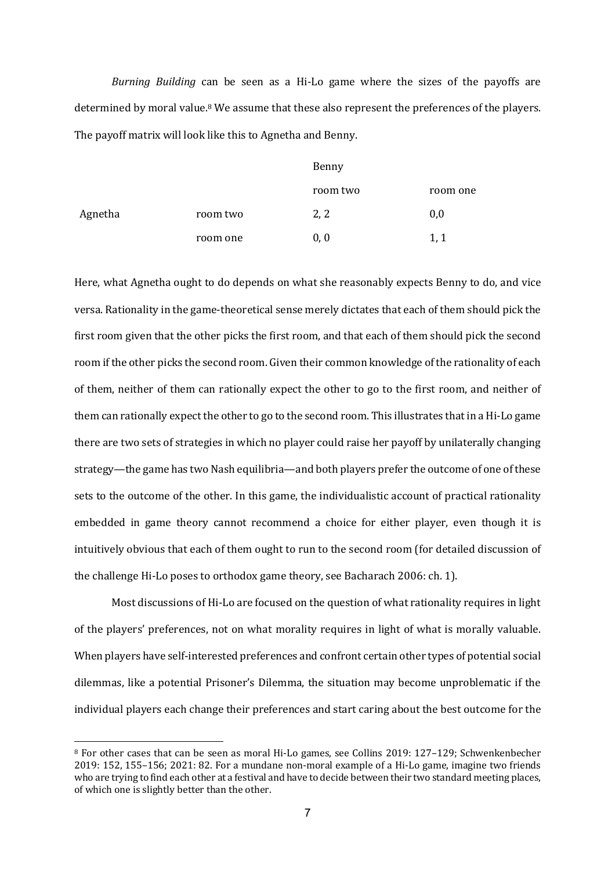*Burning Building* can be seen as a Hi-Lo game where the sizes of the payoffs are determined by moral value.<sup>8</sup> We assume that these also represent the preferences of the players. The payoff matrix will look like this to Agnetha and Benny.

|         |          | Benny    |          |
|---------|----------|----------|----------|
|         |          | room two | room one |
| Agnetha | room two | 2, 2     | 0,0      |
|         | room one | 0, 0     | 1, 1     |

Here, what Agnetha ought to do depends on what she reasonably expects Benny to do, and vice versa. Rationality in the game-theoretical sense merely dictates that each of them should pick the first room given that the other picks the first room, and that each of them should pick the second room if the other picks the second room. Given their common knowledge of the rationality of each of them, neither of them can rationally expect the other to go to the first room, and neither of them can rationally expect the other to go to the second room. This illustrates that in a Hi-Lo game there are two sets of strategies in which no player could raise her payoff by unilaterally changing strategy—the game has two Nash equilibria—and both players prefer the outcome of one of these sets to the outcome of the other. In this game, the individualistic account of practical rationality embedded in game theory cannot recommend a choice for either player, even though it is intuitively obvious that each of them ought to run to the second room (for detailed discussion of the challenge Hi-Lo poses to orthodox game theory, see Bacharach 2006: ch. 1).

Most discussions of Hi-Lo are focused on the question of what rationality requires in light of the players' preferences, not on what morality requires in light of what is morally valuable. When players have self-interested preferences and confront certain other types of potential social dilemmas, like a potential Prisoner's Dilemma, the situation may become unproblematic if the individual players each change their preferences and start caring about the best outcome for the

<sup>&</sup>lt;sup>8</sup> For other cases that can be seen as moral Hi-Lo games, see Collins 2019: 127–129; Schwenkenbecher  $2019: 152, 155-156: 2021: 82.$  For a mundane non-moral example of a Hi-Lo game, imagine two friends who are trying to find each other at a festival and have to decide between their two standard meeting places, of which one is slightly better than the other.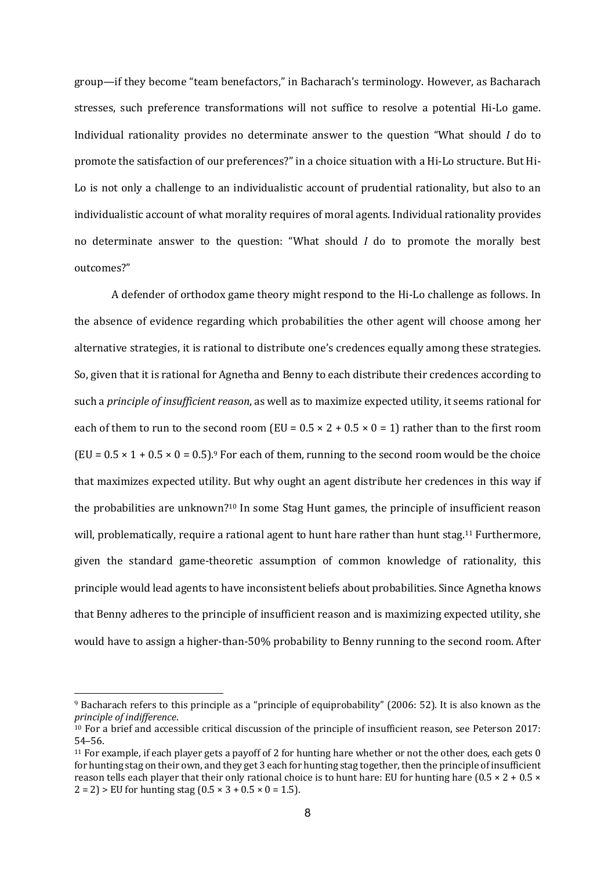group—if they become "team benefactors," in Bacharach's terminology. However, as Bacharach stresses, such preference transformations will not suffice to resolve a potential Hi-Lo game. Individual rationality provides no determinate answer to the question "What should *I* do to promote the satisfaction of our preferences?" in a choice situation with a Hi-Lo structure. But Hi-Lo is not only a challenge to an individualistic account of prudential rationality, but also to an individualistic account of what morality requires of moral agents. Individual rationality provides no determinate answer to the question: "What should *I* do to promote the morally best outcomes?"

A defender of orthodox game theory might respond to the Hi-Lo challenge as follows. In the absence of evidence regarding which probabilities the other agent will choose among her alternative strategies, it is rational to distribute one's credences equally among these strategies. So, given that it is rational for Agnetha and Benny to each distribute their credences according to such a *principle of insufficient reason*, as well as to maximize expected utility, it seems rational for each of them to run to the second room (EU =  $0.5 \times 2 + 0.5 \times 0 = 1$ ) rather than to the first room  $(EU = 0.5 \times 1 + 0.5 \times 0 = 0.5)$ .<sup>9</sup> For each of them, running to the second room would be the choice that maximizes expected utility. But why ought an agent distribute her credences in this way if the probabilities are unknown?<sup>10</sup> In some Stag Hunt games, the principle of insufficient reason will, problematically, require a rational agent to hunt hare rather than hunt stag.<sup>11</sup> Furthermore, given the standard game-theoretic assumption of common knowledge of rationality, this principle would lead agents to have inconsistent beliefs about probabilities. Since Agnetha knows that Benny adheres to the principle of insufficient reason and is maximizing expected utility, she would have to assign a higher-than-50% probability to Benny running to the second room. After

<sup>9</sup> Bacharach refers to this principle as a "principle of equiprobability" (2006: 52). It is also known as the *principle of indifference*.

 $10$  For a brief and accessible critical discussion of the principle of insufficient reason, see Peterson 2017: 54–56.

<sup>&</sup>lt;sup>11</sup> For example, if each player gets a payoff of 2 for hunting hare whether or not the other does, each gets  $0$ for hunting stag on their own, and they get 3 each for hunting stag together, then the principle of insufficient reason tells each player that their only rational choice is to hunt hare: EU for hunting hare  $(0.5 \times 2 + 0.5 \times$  $2 = 2$  > EU for hunting stag (0.5  $\times$  3 + 0.5  $\times$  0 = 1.5).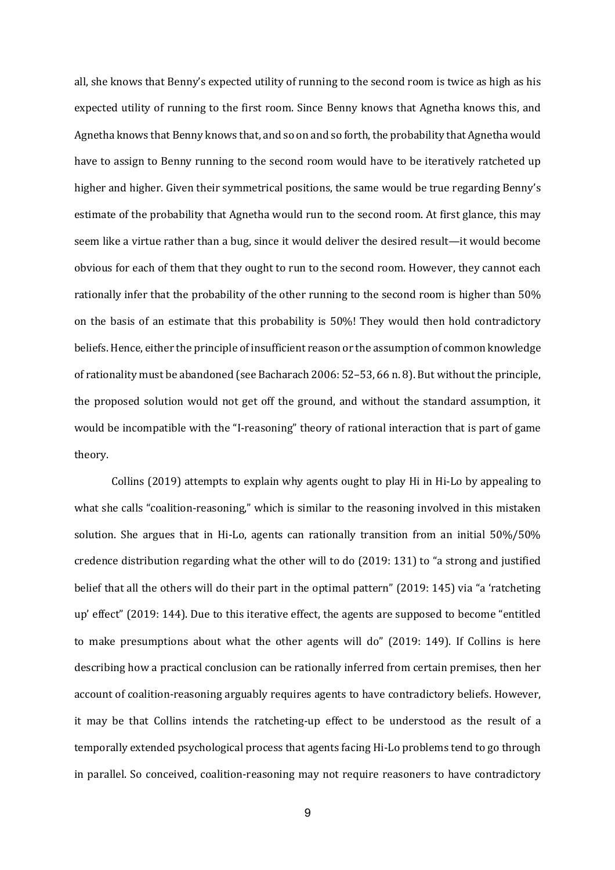all, she knows that Benny's expected utility of running to the second room is twice as high as his expected utility of running to the first room. Since Benny knows that Agnetha knows this, and Agnetha knows that Benny knows that, and so on and so forth, the probability that Agnetha would have to assign to Benny running to the second room would have to be iteratively ratcheted up higher and higher. Given their symmetrical positions, the same would be true regarding Benny's estimate of the probability that Agnetha would run to the second room. At first glance, this may seem like a virtue rather than a bug, since it would deliver the desired result—it would become obvious for each of them that they ought to run to the second room. However, they cannot each rationally infer that the probability of the other running to the second room is higher than 50% on the basis of an estimate that this probability is 50%! They would then hold contradictory beliefs. Hence, either the principle of insufficient reason or the assumption of common knowledge of rationality must be abandoned (see Bacharach 2006:  $52-53$ , 66 n. 8). But without the principle, the proposed solution would not get off the ground, and without the standard assumption, it would be incompatible with the "I-reasoning" theory of rational interaction that is part of game theory. 

Collins  $(2019)$  attempts to explain why agents ought to play Hi in Hi-Lo by appealing to what she calls "coalition-reasoning," which is similar to the reasoning involved in this mistaken solution. She argues that in Hi-Lo, agents can rationally transition from an initial 50%/50% credence distribution regarding what the other will to do (2019: 131) to "a strong and justified belief that all the others will do their part in the optimal pattern" (2019: 145) via "a 'ratcheting up' effect" (2019: 144). Due to this iterative effect, the agents are supposed to become "entitled to make presumptions about what the other agents will do" (2019: 149). If Collins is here describing how a practical conclusion can be rationally inferred from certain premises, then her account of coalition-reasoning arguably requires agents to have contradictory beliefs. However, it may be that Collins intends the ratcheting-up effect to be understood as the result of a temporally extended psychological process that agents facing Hi-Lo problems tend to go through in parallel. So conceived, coalition-reasoning may not require reasoners to have contradictory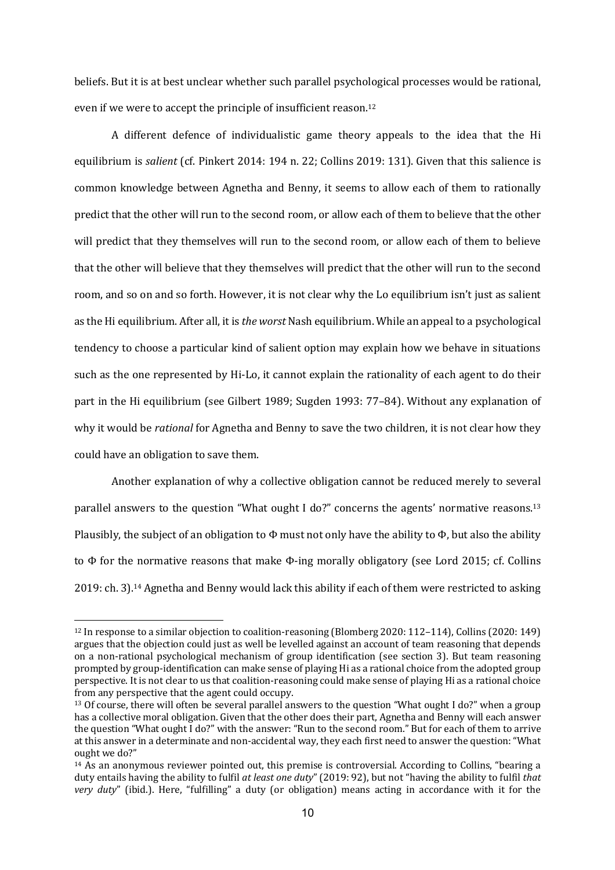beliefs. But it is at best unclear whether such parallel psychological processes would be rational, even if we were to accept the principle of insufficient reason.<sup>12</sup>

A different defence of individualistic game theory appeals to the idea that the Hi equilibrium is *salient* (cf. Pinkert 2014: 194 n. 22; Collins 2019: 131). Given that this salience is common knowledge between Agnetha and Benny, it seems to allow each of them to rationally predict that the other will run to the second room, or allow each of them to believe that the other will predict that they themselves will run to the second room, or allow each of them to believe that the other will believe that they themselves will predict that the other will run to the second room, and so on and so forth. However, it is not clear why the Lo equilibrium isn't just as salient as the Hi equilibrium. After all, it is *the worst* Nash equilibrium. While an appeal to a psychological tendency to choose a particular kind of salient option may explain how we behave in situations such as the one represented by Hi-Lo, it cannot explain the rationality of each agent to do their part in the Hi equilibrium (see Gilbert 1989; Sugden 1993: 77-84). Without any explanation of why it would be *rational* for Agnetha and Benny to save the two children, it is not clear how they could have an obligation to save them.

Another explanation of why a collective obligation cannot be reduced merely to several parallel answers to the question "What ought I do?" concerns the agents' normative reasons.<sup>13</sup> Plausibly, the subject of an obligation to  $\Phi$  must not only have the ability to  $\Phi$ , but also the ability to  $\Phi$  for the normative reasons that make  $\Phi$ -ing morally obligatory (see Lord 2015; cf. Collins  $2019:$  ch. 3).<sup>14</sup> Agnetha and Benny would lack this ability if each of them were restricted to asking

 $12$  In response to a similar objection to coalition-reasoning (Blomberg 2020: 112–114), Collins (2020: 149) argues that the objection could just as well be levelled against an account of team reasoning that depends on a non-rational psychological mechanism of group identification (see section 3). But team reasoning prompted by group-identification can make sense of playing Hi as a rational choice from the adopted group perspective. It is not clear to us that coalition-reasoning could make sense of playing Hi as a rational choice from any perspective that the agent could occupy.

<sup>&</sup>lt;sup>13</sup> Of course, there will often be several parallel answers to the question "What ought I do?" when a group has a collective moral obligation. Given that the other does their part, Agnetha and Benny will each answer the question "What ought I do?" with the answer: "Run to the second room." But for each of them to arrive at this answer in a determinate and non-accidental way, they each first need to answer the question: "What ought we do?"

 $14$  As an anonymous reviewer pointed out, this premise is controversial. According to Collins, "bearing a duty entails having the ability to fulfil at least one duty" (2019: 92), but not "having the ability to fulfil that *very* duty" (ibid.). Here, "fulfilling" a duty (or obligation) means acting in accordance with it for the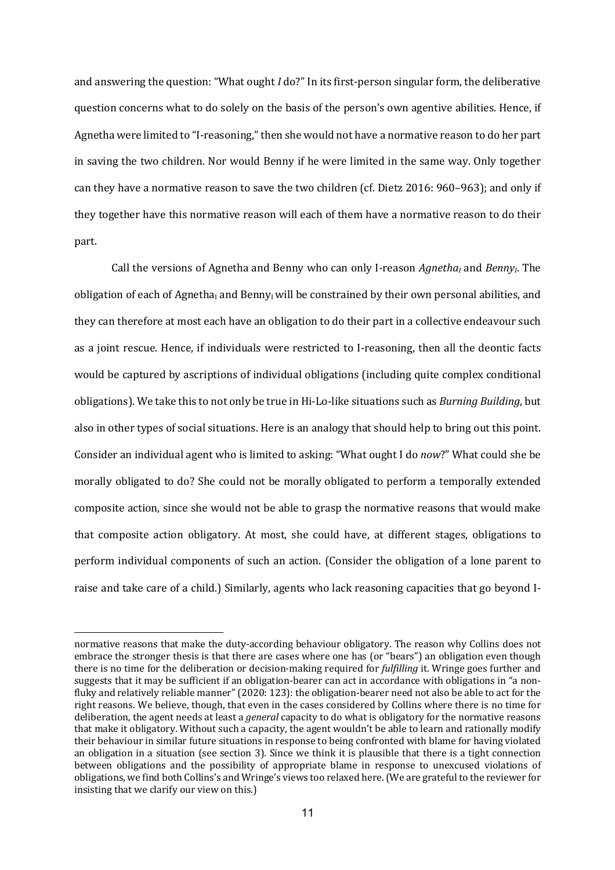and answering the question: "What ought *I* do?" In its first-person singular form, the deliberative question concerns what to do solely on the basis of the person's own agentive abilities. Hence, if Agnetha were limited to "I-reasoning," then she would not have a normative reason to do her part in saving the two children. Nor would Benny if he were limited in the same way. Only together can they have a normative reason to save the two children (cf. Dietz 2016: 960–963); and only if they together have this normative reason will each of them have a normative reason to do their part.

Call the versions of Agnetha and Benny who can only I-reason *Agnetha<sub>I</sub>* and *Benny<sub>I</sub>*. The obligation of each of Agnetha<sub>I</sub> and Benny<sub>I</sub> will be constrained by their own personal abilities, and they can therefore at most each have an obligation to do their part in a collective endeavour such as a joint rescue. Hence, if individuals were restricted to I-reasoning, then all the deontic facts would be captured by ascriptions of individual obligations (including quite complex conditional obligations). We take this to not only be true in Hi-Lo-like situations such as *Burning Building*, but also in other types of social situations. Here is an analogy that should help to bring out this point. Consider an individual agent who is limited to asking: "What ought I do *now*?" What could she be morally obligated to do? She could not be morally obligated to perform a temporally extended composite action, since she would not be able to grasp the normative reasons that would make that composite action obligatory. At most, she could have, at different stages, obligations to perform individual components of such an action. (Consider the obligation of a lone parent to raise and take care of a child.) Similarly, agents who lack reasoning capacities that go beyond I-

normative reasons that make the duty-according behaviour obligatory. The reason why Collins does not embrace the stronger thesis is that there are cases where one has (or "bears") an obligation even though there is no time for the deliberation or decision-making required for *fulfilling* it. Wringe goes further and suggests that it may be sufficient if an obligation-bearer can act in accordance with obligations in "a nonfluky and relatively reliable manner"  $(2020: 123)$ : the obligation-bearer need not also be able to act for the right reasons. We believe, though, that even in the cases considered by Collins where there is no time for deliberation, the agent needs at least a *general* capacity to do what is obligatory for the normative reasons that make it obligatory. Without such a capacity, the agent wouldn't be able to learn and rationally modify their behaviour in similar future situations in response to being confronted with blame for having violated an obligation in a situation (see section 3). Since we think it is plausible that there is a tight connection between obligations and the possibility of appropriate blame in response to unexcused violations of obligations, we find both Collins's and Wringe's views too relaxed here. (We are grateful to the reviewer for insisting that we clarify our view on this.)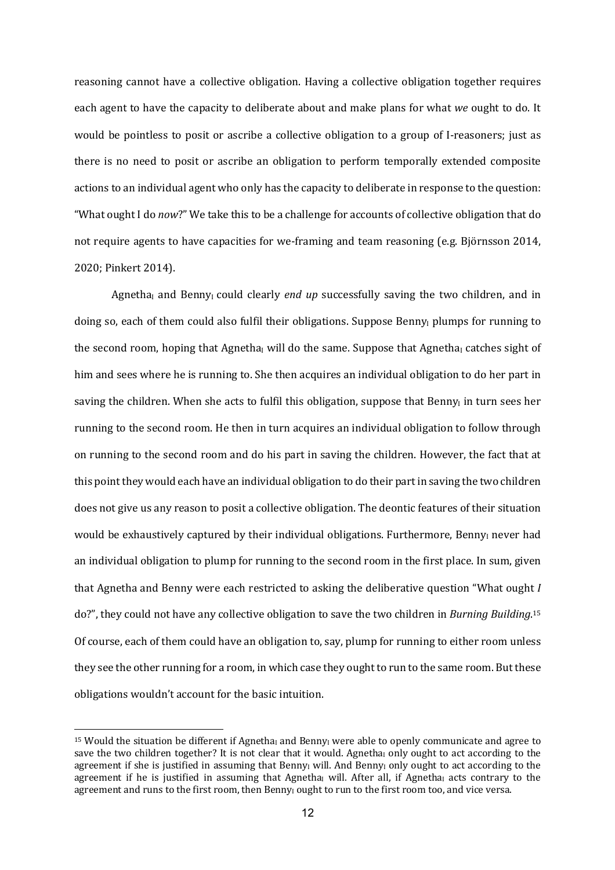reasoning cannot have a collective obligation. Having a collective obligation together requires each agent to have the capacity to deliberate about and make plans for what *we* ought to do. It would be pointless to posit or ascribe a collective obligation to a group of I-reasoners; just as there is no need to posit or ascribe an obligation to perform temporally extended composite actions to an individual agent who only has the capacity to deliberate in response to the question: "What ought I do *now?"* We take this to be a challenge for accounts of collective obligation that do not require agents to have capacities for we-framing and team reasoning (e.g. Björnsson 2014, 2020; Pinkert 2014).

Agnetha<sub>I</sub> and Benny<sub>I</sub> could clearly *end up* successfully saving the two children, and in doing so, each of them could also fulfil their obligations. Suppose Benny<sub>I</sub> plumps for running to the second room, hoping that Agnetha<sub>I</sub> will do the same. Suppose that Agnetha<sub>I</sub> catches sight of him and sees where he is running to. She then acquires an individual obligation to do her part in saving the children. When she acts to fulfil this obligation, suppose that Benny<sub>I</sub> in turn sees her running to the second room. He then in turn acquires an individual obligation to follow through on running to the second room and do his part in saving the children. However, the fact that at this point they would each have an individual obligation to do their part in saving the two children does not give us any reason to posit a collective obligation. The deontic features of their situation would be exhaustively captured by their individual obligations. Furthermore, Benny<sub>I</sub> never had an individual obligation to plump for running to the second room in the first place. In sum, given that Agnetha and Benny were each restricted to asking the deliberative question "What ought *I* do?", they could not have any collective obligation to save the two children in *Burning Building*.<sup>15</sup> Of course, each of them could have an obligation to, say, plump for running to either room unless they see the other running for a room, in which case they ought to run to the same room. But these obligations wouldn't account for the basic intuition.

<sup>&</sup>lt;sup>15</sup> Would the situation be different if Agnetha<sub>I</sub> and Benny<sub>I</sub> were able to openly communicate and agree to save the two children together? It is not clear that it would. Agnetha<sub>I</sub> only ought to act according to the agreement if she is justified in assuming that Benny<sub>I</sub> will. And Benny<sub>I</sub> only ought to act according to the agreement if he is justified in assuming that Agnetha<sub>I</sub> will. After all, if Agnetha<sub>I</sub> acts contrary to the agreement and runs to the first room, then Benny<sub>i</sub> ought to run to the first room too, and vice versa.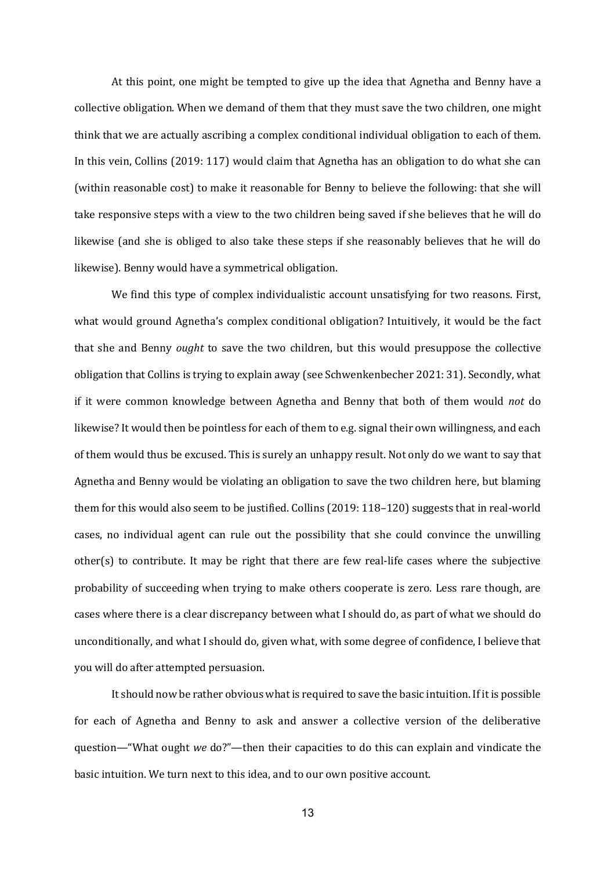At this point, one might be tempted to give up the idea that Agnetha and Benny have a collective obligation. When we demand of them that they must save the two children, one might think that we are actually ascribing a complex conditional individual obligation to each of them. In this vein, Collins  $(2019:117)$  would claim that Agnetha has an obligation to do what she can (within reasonable cost) to make it reasonable for Benny to believe the following: that she will take responsive steps with a view to the two children being saved if she believes that he will do likewise (and she is obliged to also take these steps if she reasonably believes that he will do likewise). Benny would have a symmetrical obligation.

We find this type of complex individualistic account unsatisfying for two reasons. First, what would ground Agnetha's complex conditional obligation? Intuitively, it would be the fact that she and Benny *ought* to save the two children, but this would presuppose the collective obligation that Collins is trying to explain away (see Schwenkenbecher 2021: 31). Secondly, what if it were common knowledge between Agnetha and Benny that both of them would *not* do likewise? It would then be pointless for each of them to e.g. signal their own willingness, and each of them would thus be excused. This is surely an unhappy result. Not only do we want to say that Agnetha and Benny would be violating an obligation to save the two children here, but blaming them for this would also seem to be justified. Collins  $(2019:118-120)$  suggests that in real-world cases, no individual agent can rule out the possibility that she could convince the unwilling other(s) to contribute. It may be right that there are few real-life cases where the subjective probability of succeeding when trying to make others cooperate is zero. Less rare though, are cases where there is a clear discrepancy between what I should do, as part of what we should do unconditionally, and what I should do, given what, with some degree of confidence, I believe that you will do after attempted persuasion.

It should now be rather obvious what is required to save the basic intuition. If it is possible for each of Agnetha and Benny to ask and answer a collective version of the deliberative question—"What ought we do?"—then their capacities to do this can explain and vindicate the basic intuition. We turn next to this idea, and to our own positive account.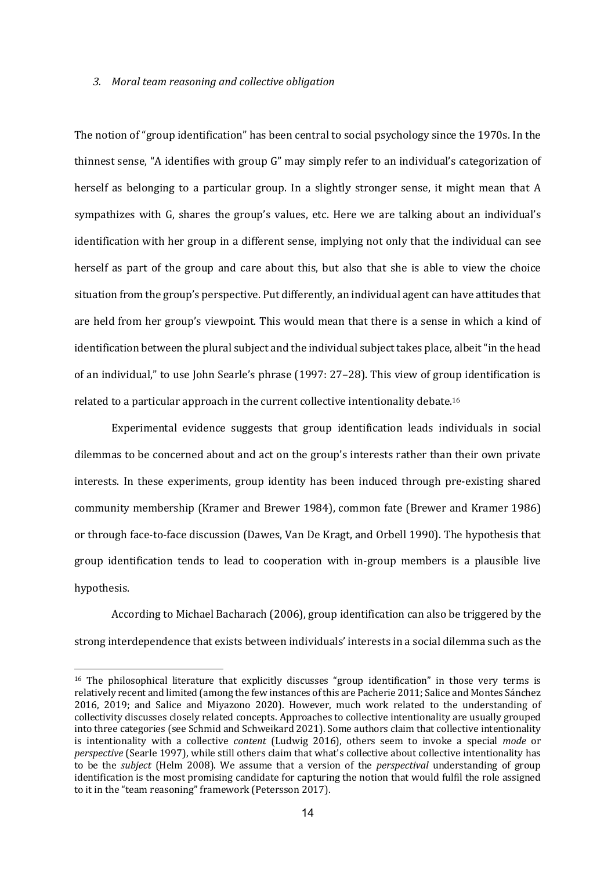### *3. Moral team reasoning and collective obligation*

The notion of "group identification" has been central to social psychology since the 1970s. In the thinnest sense, "A identifies with group G" may simply refer to an individual's categorization of herself as belonging to a particular group. In a slightly stronger sense, it might mean that A sympathizes with G, shares the group's values, etc. Here we are talking about an individual's identification with her group in a different sense, implying not only that the individual can see herself as part of the group and care about this, but also that she is able to view the choice situation from the group's perspective. Put differently, an individual agent can have attitudes that are held from her group's viewpoint. This would mean that there is a sense in which a kind of identification between the plural subject and the individual subject takes place, albeit "in the head of an individual," to use John Searle's phrase  $(1997: 27-28)$ . This view of group identification is related to a particular approach in the current collective intentionality debate.<sup>16</sup>

Experimental evidence suggests that group identification leads individuals in social dilemmas to be concerned about and act on the group's interests rather than their own private interests. In these experiments, group identity has been induced through pre-existing shared community membership (Kramer and Brewer 1984), common fate (Brewer and Kramer 1986) or through face-to-face discussion (Dawes, Van De Kragt, and Orbell 1990). The hypothesis that group identification tends to lead to cooperation with in-group members is a plausible live hypothesis. 

According to Michael Bacharach (2006), group identification can also be triggered by the strong interdependence that exists between individuals' interests in a social dilemma such as the

 $16$  The philosophical literature that explicitly discusses "group identification" in those very terms is relatively recent and limited (among the few instances of this are Pacherie 2011; Salice and Montes Sánchez 2016, 2019; and Salice and Miyazono 2020). However, much work related to the understanding of collectivity discusses closely related concepts. Approaches to collective intentionality are usually grouped into three categories (see Schmid and Schweikard 2021). Some authors claim that collective intentionality is intentionality with a collective *content* (Ludwig 2016), others seem to invoke a special *mode* or *perspective* (Searle 1997), while still others claim that what's collective about collective intentionality has to be the *subject* (Helm 2008). We assume that a version of the *perspectival* understanding of group identification is the most promising candidate for capturing the notion that would fulfil the role assigned to it in the "team reasoning" framework (Petersson 2017).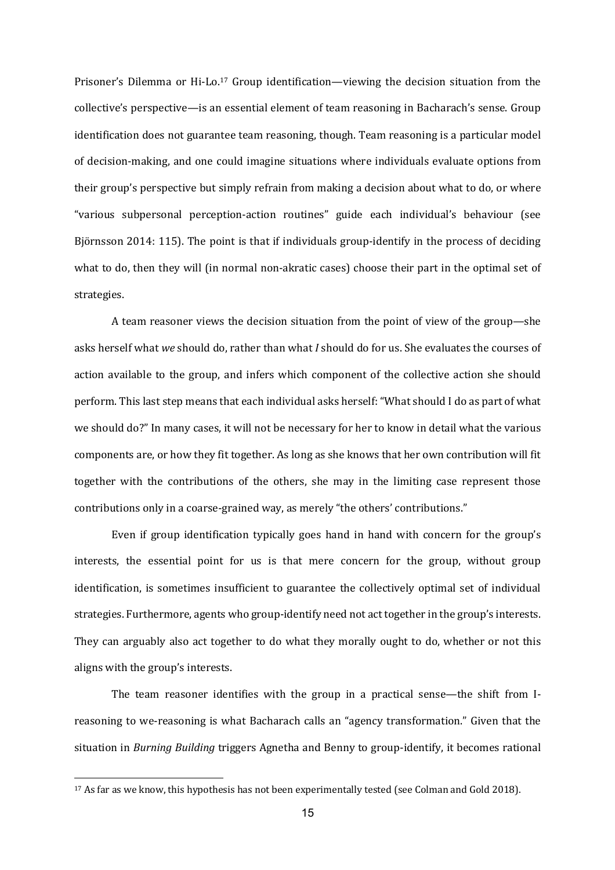Prisoner's Dilemma or Hi-Lo.<sup>17</sup> Group identification—viewing the decision situation from the collective's perspective—is an essential element of team reasoning in Bacharach's sense. Group identification does not guarantee team reasoning, though. Team reasoning is a particular model of decision-making, and one could imagine situations where individuals evaluate options from their group's perspective but simply refrain from making a decision about what to do, or where "various subpersonal perception-action routines" guide each individual's behaviour (see Björnsson 2014: 115). The point is that if individuals group-identify in the process of deciding what to do, then they will (in normal non-akratic cases) choose their part in the optimal set of strategies.

A team reasoner views the decision situation from the point of view of the group—she asks herself what we should do, rather than what *I* should do for us. She evaluates the courses of action available to the group, and infers which component of the collective action she should perform. This last step means that each individual asks herself: "What should I do as part of what we should do?" In many cases, it will not be necessary for her to know in detail what the various components are, or how they fit together. As long as she knows that her own contribution will fit together with the contributions of the others, she may in the limiting case represent those contributions only in a coarse-grained way, as merely "the others' contributions."

Even if group identification typically goes hand in hand with concern for the group's interests, the essential point for us is that mere concern for the group, without group identification, is sometimes insufficient to guarantee the collectively optimal set of individual strategies. Furthermore, agents who group-identify need not act together in the group's interests. They can arguably also act together to do what they morally ought to do, whether or not this aligns with the group's interests.

The team reasoner identifies with the group in a practical sense—the shift from Ireasoning to we-reasoning is what Bacharach calls an "agency transformation." Given that the situation in *Burning Building* triggers Agnetha and Benny to group-identify, it becomes rational

<sup>&</sup>lt;sup>17</sup> As far as we know, this hypothesis has not been experimentally tested (see Colman and Gold 2018).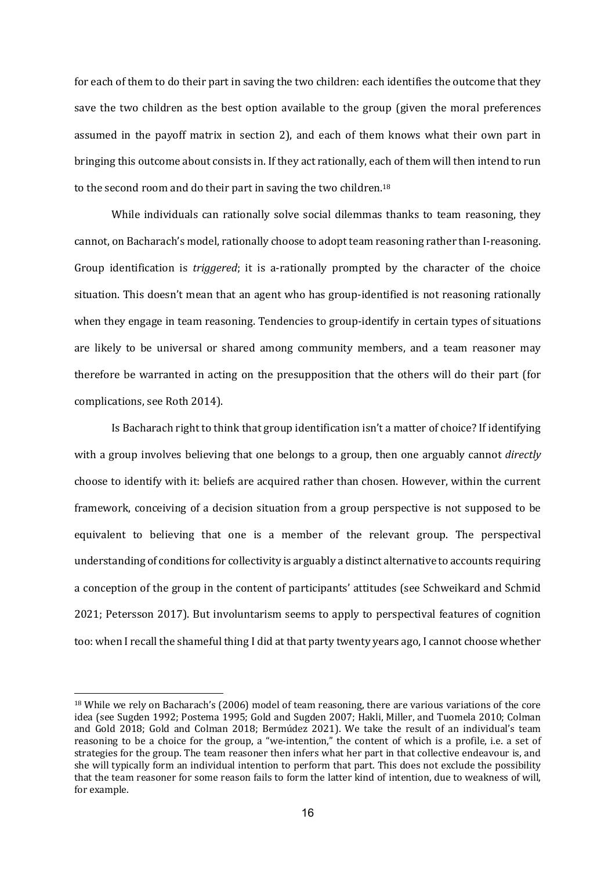for each of them to do their part in saving the two children: each identifies the outcome that they save the two children as the best option available to the group (given the moral preferences assumed in the payoff matrix in section 2), and each of them knows what their own part in bringing this outcome about consists in. If they act rationally, each of them will then intend to run to the second room and do their part in saving the two children.<sup>18</sup>

While individuals can rationally solve social dilemmas thanks to team reasoning, they cannot, on Bacharach's model, rationally choose to adopt team reasoning rather than I-reasoning. Group identification is *triggered*; it is a-rationally prompted by the character of the choice situation. This doesn't mean that an agent who has group-identified is not reasoning rationally when they engage in team reasoning. Tendencies to group-identify in certain types of situations are likely to be universal or shared among community members, and a team reasoner may therefore be warranted in acting on the presupposition that the others will do their part (for complications, see Roth 2014).

Is Bacharach right to think that group identification isn't a matter of choice? If identifying with a group involves believing that one belongs to a group, then one arguably cannot *directly* choose to identify with it: beliefs are acquired rather than chosen. However, within the current framework, conceiving of a decision situation from a group perspective is not supposed to be equivalent to believing that one is a member of the relevant group. The perspectival understanding of conditions for collectivity is arguably a distinct alternative to accounts requiring a conception of the group in the content of participants' attitudes (see Schweikard and Schmid 2021; Petersson 2017). But involuntarism seems to apply to perspectival features of cognition too: when I recall the shameful thing I did at that party twenty years ago, I cannot choose whether

 $18$  While we rely on Bacharach's (2006) model of team reasoning, there are various variations of the core idea (see Sugden 1992; Postema 1995; Gold and Sugden 2007; Hakli, Miller, and Tuomela 2010; Colman and Gold 2018; Gold and Colman 2018; Bermúdez 2021). We take the result of an individual's team reasoning to be a choice for the group, a "we-intention," the content of which is a profile, i.e. a set of strategies for the group. The team reasoner then infers what her part in that collective endeavour is, and she will typically form an individual intention to perform that part. This does not exclude the possibility that the team reasoner for some reason fails to form the latter kind of intention, due to weakness of will, for example.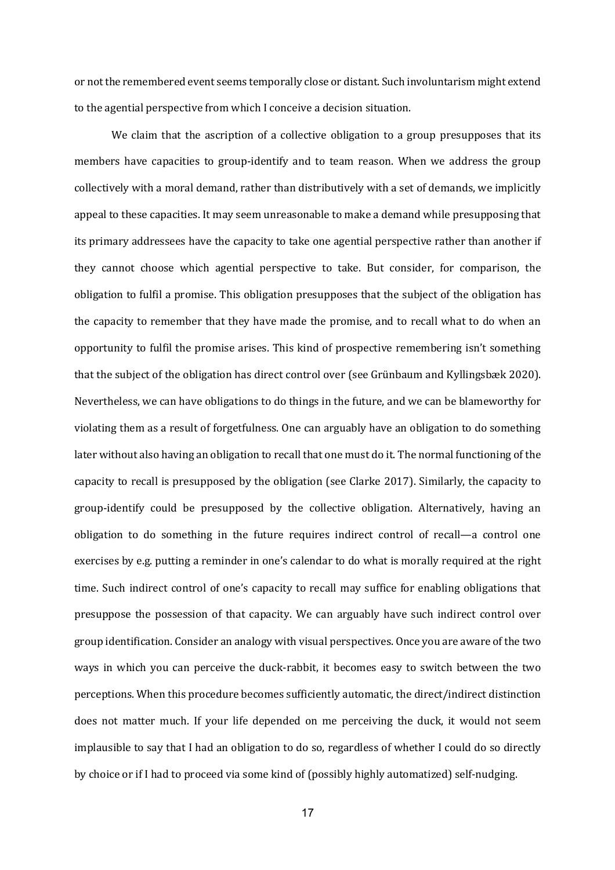or not the remembered event seems temporally close or distant. Such involuntarism might extend to the agential perspective from which I conceive a decision situation.

We claim that the ascription of a collective obligation to a group presupposes that its members have capacities to group-identify and to team reason. When we address the group collectively with a moral demand, rather than distributively with a set of demands, we implicitly appeal to these capacities. It may seem unreasonable to make a demand while presupposing that its primary addressees have the capacity to take one agential perspective rather than another if they cannot choose which agential perspective to take. But consider, for comparison, the obligation to fulfil a promise. This obligation presupposes that the subject of the obligation has the capacity to remember that they have made the promise, and to recall what to do when an opportunity to fulfil the promise arises. This kind of prospective remembering isn't something that the subject of the obligation has direct control over (see Grünbaum and Kyllingsbæk 2020). Nevertheless, we can have obligations to do things in the future, and we can be blameworthy for violating them as a result of forgetfulness. One can arguably have an obligation to do something later without also having an obligation to recall that one must do it. The normal functioning of the capacity to recall is presupposed by the obligation (see Clarke 2017). Similarly, the capacity to group-identify could be presupposed by the collective obligation. Alternatively, having an obligation to do something in the future requires indirect control of recall—a control one exercises by e.g. putting a reminder in one's calendar to do what is morally required at the right time. Such indirect control of one's capacity to recall may suffice for enabling obligations that presuppose the possession of that capacity. We can arguably have such indirect control over group identification. Consider an analogy with visual perspectives. Once you are aware of the two ways in which you can perceive the duck-rabbit, it becomes easy to switch between the two perceptions. When this procedure becomes sufficiently automatic, the direct/indirect distinction does not matter much. If your life depended on me perceiving the duck, it would not seem implausible to say that I had an obligation to do so, regardless of whether I could do so directly by choice or if I had to proceed via some kind of (possibly highly automatized) self-nudging.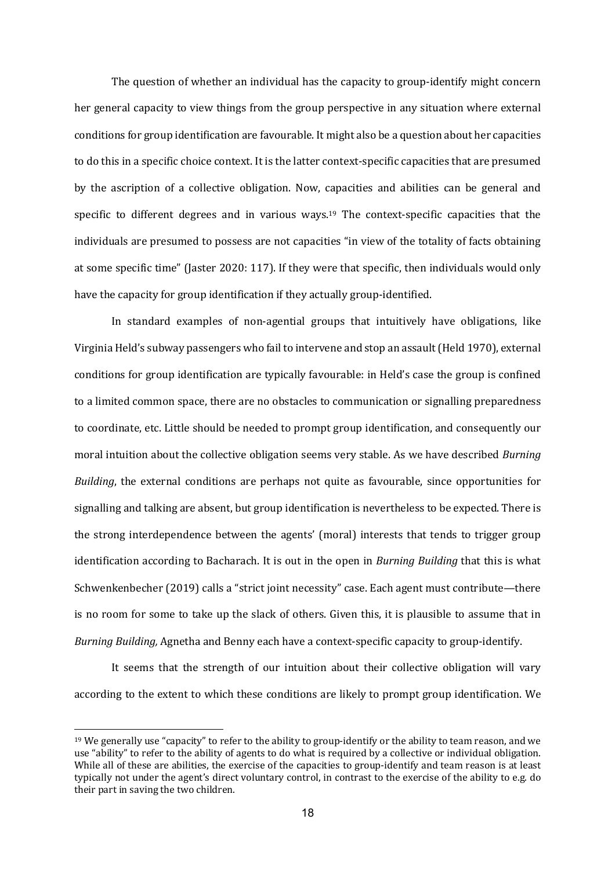The question of whether an individual has the capacity to group-identify might concern her general capacity to view things from the group perspective in any situation where external conditions for group identification are favourable. It might also be a question about her capacities to do this in a specific choice context. It is the latter context-specific capacities that are presumed by the ascription of a collective obligation. Now, capacities and abilities can be general and specific to different degrees and in various ways.<sup>19</sup> The context-specific capacities that the individuals are presumed to possess are not capacities "in view of the totality of facts obtaining at some specific time" (Jaster 2020: 117). If they were that specific, then individuals would only have the capacity for group identification if they actually group-identified.

In standard examples of non-agential groups that intuitively have obligations, like Virginia Held's subway passengers who fail to intervene and stop an assault (Held 1970), external conditions for group identification are typically favourable: in Held's case the group is confined to a limited common space, there are no obstacles to communication or signalling preparedness to coordinate, etc. Little should be needed to prompt group identification, and consequently our moral intuition about the collective obligation seems very stable. As we have described *Burning Building*, the external conditions are perhaps not quite as favourable, since opportunities for signalling and talking are absent, but group identification is nevertheless to be expected. There is the strong interdependence between the agents' (moral) interests that tends to trigger group identification according to Bacharach. It is out in the open in *Burning Building* that this is what Schwenkenbecher (2019) calls a "strict joint necessity" case. Each agent must contribute—there is no room for some to take up the slack of others. Given this, it is plausible to assume that in *Burning Building,* Agnetha and Benny each have a context-specific capacity to group-identify.

It seems that the strength of our intuition about their collective obligation will vary according to the extent to which these conditions are likely to prompt group identification. We

 $19$  We generally use "capacity" to refer to the ability to group-identify or the ability to team reason, and we use "ability" to refer to the ability of agents to do what is required by a collective or individual obligation. While all of these are abilities, the exercise of the capacities to group-identify and team reason is at least typically not under the agent's direct voluntary control, in contrast to the exercise of the ability to e.g. do their part in saving the two children.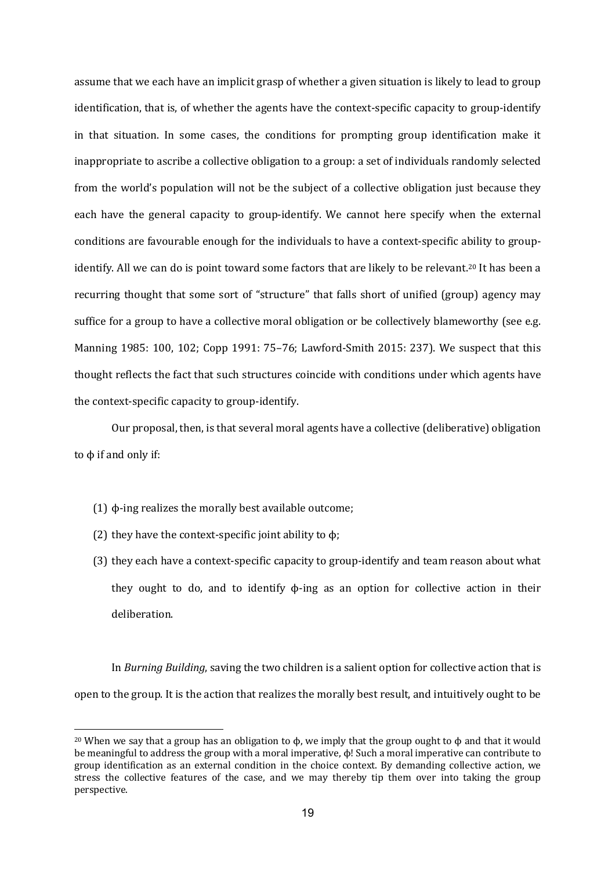assume that we each have an implicit grasp of whether a given situation is likely to lead to group identification, that is, of whether the agents have the context-specific capacity to group-identify in that situation. In some cases, the conditions for prompting group identification make it inappropriate to ascribe a collective obligation to a group: a set of individuals randomly selected from the world's population will not be the subject of a collective obligation just because they each have the general capacity to group-identify. We cannot here specify when the external conditions are favourable enough for the individuals to have a context-specific ability to groupidentify. All we can do is point toward some factors that are likely to be relevant.<sup>20</sup> It has been a recurring thought that some sort of "structure" that falls short of unified (group) agency may suffice for a group to have a collective moral obligation or be collectively blameworthy (see e.g. Manning 1985: 100, 102; Copp 1991: 75-76; Lawford-Smith 2015: 237). We suspect that this thought reflects the fact that such structures coincide with conditions under which agents have the context-specific capacity to group-identify.

Our proposal, then, is that several moral agents have a collective (deliberative) obligation to  $φ$  if and only if:

- $(1)$   $\phi$ -ing realizes the morally best available outcome;
- (2) they have the context-specific joint ability to  $\phi$ ;
- (3) they each have a context-specific capacity to group-identify and team reason about what they ought to do, and to identify  $\phi$ -ing as an option for collective action in their deliberation.

In *Burning Building*, saving the two children is a salient option for collective action that is open to the group. It is the action that realizes the morally best result, and intuitively ought to be

<sup>&</sup>lt;sup>20</sup> When we say that a group has an obligation to  $\phi$ , we imply that the group ought to  $\phi$  and that it would be meaningful to address the group with a moral imperative,  $\phi$ ! Such a moral imperative can contribute to group identification as an external condition in the choice context. By demanding collective action, we stress the collective features of the case, and we may thereby tip them over into taking the group perspective.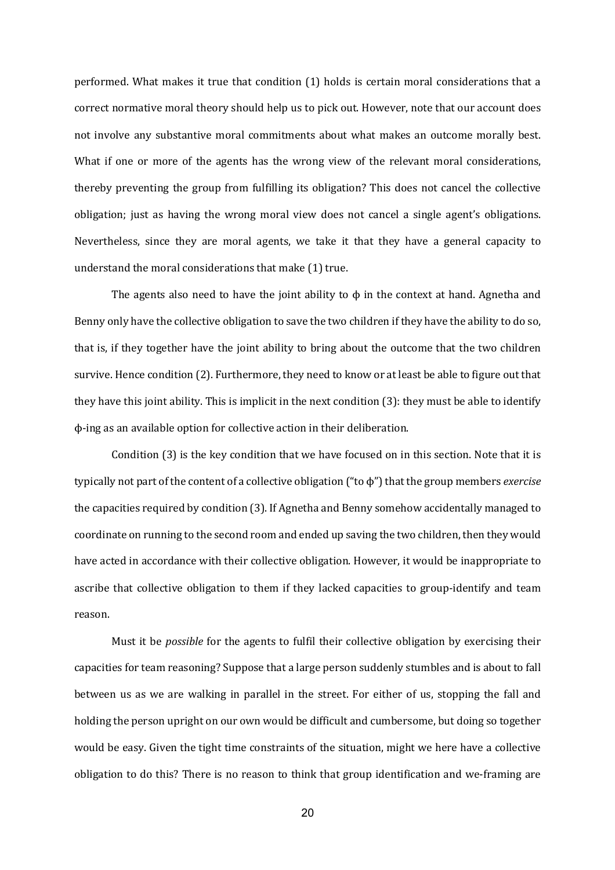performed. What makes it true that condition (1) holds is certain moral considerations that a correct normative moral theory should help us to pick out. However, note that our account does not involve any substantive moral commitments about what makes an outcome morally best. What if one or more of the agents has the wrong view of the relevant moral considerations, thereby preventing the group from fulfilling its obligation? This does not cancel the collective obligation; just as having the wrong moral view does not cancel a single agent's obligations. Nevertheless, since they are moral agents, we take it that they have a general capacity to understand the moral considerations that make (1) true.

The agents also need to have the joint ability to  $\phi$  in the context at hand. Agnetha and Benny only have the collective obligation to save the two children if they have the ability to do so, that is, if they together have the joint ability to bring about the outcome that the two children survive. Hence condition (2). Furthermore, they need to know or at least be able to figure out that they have this joint ability. This is implicit in the next condition  $(3)$ : they must be able to identify  $\phi$ -ing as an available option for collective action in their deliberation.

Condition  $(3)$  is the key condition that we have focused on in this section. Note that it is typically not part of the content of a collective obligation ("to φ") that the group members *exercise* the capacities required by condition (3). If Agnetha and Benny somehow accidentally managed to coordinate on running to the second room and ended up saving the two children, then they would have acted in accordance with their collective obligation. However, it would be inappropriate to ascribe that collective obligation to them if they lacked capacities to group-identify and team reason.

Must it be *possible* for the agents to fulfil their collective obligation by exercising their capacities for team reasoning? Suppose that a large person suddenly stumbles and is about to fall between us as we are walking in parallel in the street. For either of us, stopping the fall and holding the person upright on our own would be difficult and cumbersome, but doing so together would be easy. Given the tight time constraints of the situation, might we here have a collective obligation to do this? There is no reason to think that group identification and we-framing are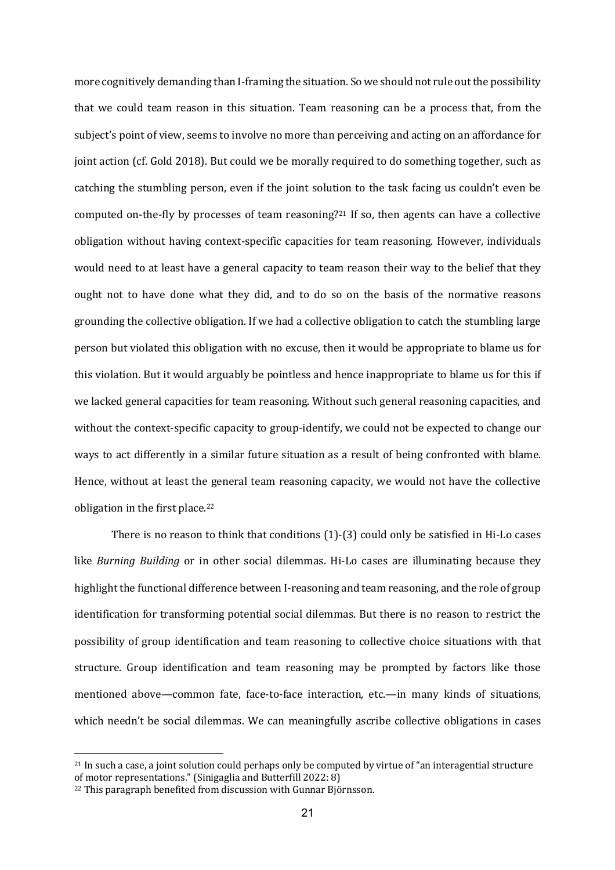more cognitively demanding than I-framing the situation. So we should not rule out the possibility that we could team reason in this situation. Team reasoning can be a process that, from the subject's point of view, seems to involve no more than perceiving and acting on an affordance for joint action (cf. Gold 2018). But could we be morally required to do something together, such as catching the stumbling person, even if the joint solution to the task facing us couldn't even be computed on-the-fly by processes of team reasoning?<sup>21</sup> If so, then agents can have a collective obligation without having context-specific capacities for team reasoning. However, individuals would need to at least have a general capacity to team reason their way to the belief that they ought not to have done what they did, and to do so on the basis of the normative reasons grounding the collective obligation. If we had a collective obligation to catch the stumbling large person but violated this obligation with no excuse, then it would be appropriate to blame us for this violation. But it would arguably be pointless and hence inappropriate to blame us for this if we lacked general capacities for team reasoning. Without such general reasoning capacities, and without the context-specific capacity to group-identify, we could not be expected to change our ways to act differently in a similar future situation as a result of being confronted with blame. Hence, without at least the general team reasoning capacity, we would not have the collective obligation in the first place. $22$ 

There is no reason to think that conditions  $(1)-(3)$  could only be satisfied in Hi-Lo cases like *Burning Building* or in other social dilemmas. Hi-Lo cases are illuminating because they highlight the functional difference between I-reasoning and team reasoning, and the role of group identification for transforming potential social dilemmas. But there is no reason to restrict the possibility of group identification and team reasoning to collective choice situations with that structure. Group identification and team reasoning may be prompted by factors like those mentioned above—common fate, face-to-face interaction, etc.—in many kinds of situations, which needn't be social dilemmas. We can meaningfully ascribe collective obligations in cases

 $21$  In such a case, a joint solution could perhaps only be computed by virtue of "an interagential structure of motor representations." (Sinigaglia and Butterfill 2022: 8)

<sup>&</sup>lt;sup>22</sup> This paragraph benefited from discussion with Gunnar Björnsson.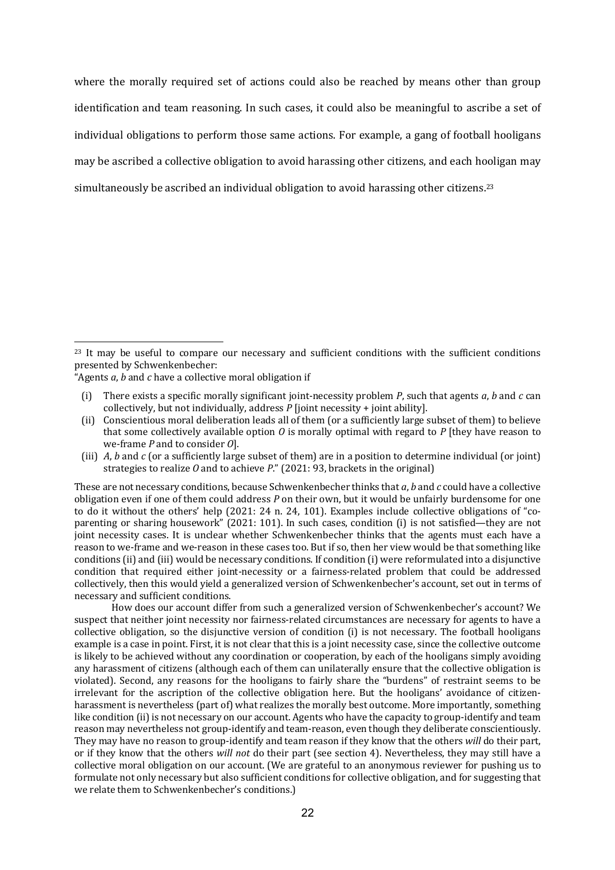where the morally required set of actions could also be reached by means other than group identification and team reasoning. In such cases, it could also be meaningful to ascribe a set of individual obligations to perform those same actions. For example, a gang of football hooligans may be ascribed a collective obligation to avoid harassing other citizens, and each hooligan may simultaneously be ascribed an individual obligation to avoid harassing other citizens.<sup>23</sup>

(iii) *A*, *b* and *c* (or a sufficiently large subset of them) are in a position to determine individual (or joint) strategies to realize  $O$  and to achieve  $P$ ." (2021: 93, brackets in the original)

These are not necessary conditions, because Schwenkenbecher thinks that *a*, *b* and *c* could have a collective obligation even if one of them could address P on their own, but it would be unfairly burdensome for one to do it without the others' help  $(2021: 24 n. 24, 101)$ . Examples include collective obligations of "coparenting or sharing housework" (2021: 101). In such cases, condition (i) is not satisfied—they are not joint necessity cases. It is unclear whether Schwenkenbecher thinks that the agents must each have a reason to we-frame and we-reason in these cases too. But if so, then her view would be that something like conditions (ii) and (iii) would be necessary conditions. If condition (i) were reformulated into a disjunctive condition that required either joint-necessity or a fairness-related problem that could be addressed collectively, then this would yield a generalized version of Schwenkenbecher's account, set out in terms of necessary and sufficient conditions.

How does our account differ from such a generalized version of Schwenkenbecher's account? We suspect that neither joint necessity nor fairness-related circumstances are necessary for agents to have a collective obligation, so the disjunctive version of condition (i) is not necessary. The football hooligans example is a case in point. First, it is not clear that this is a joint necessity case, since the collective outcome is likely to be achieved without any coordination or cooperation, by each of the hooligans simply avoiding any harassment of citizens (although each of them can unilaterally ensure that the collective obligation is violated). Second, any reasons for the hooligans to fairly share the "burdens" of restraint seems to be irrelevant for the ascription of the collective obligation here. But the hooligans' avoidance of citizenharassment is nevertheless (part of) what realizes the morally best outcome. More importantly, something like condition (ii) is not necessary on our account. Agents who have the capacity to group-identify and team reason may nevertheless not group-identify and team-reason, even though they deliberate conscientiously. They may have no reason to group-identify and team reason if they know that the others *will* do their part, or if they know that the others *will not* do their part (see section 4). Nevertheless, they may still have a collective moral obligation on our account. (We are grateful to an anonymous reviewer for pushing us to formulate not only necessary but also sufficient conditions for collective obligation, and for suggesting that we relate them to Schwenkenbecher's conditions.)

 $23$  It may be useful to compare our necessary and sufficient conditions with the sufficient conditions presented by Schwenkenbecher:

<sup>&</sup>quot;Agents  $a$ ,  $b$  and  $c$  have a collective moral obligation if

<sup>(</sup>i) There exists a specific morally significant joint-necessity problem  $P$ , such that agents  $a$ ,  $b$  and  $c$  can collectively, but not individually, address  $P$  [joint necessity + joint ability].

<sup>(</sup>ii) Conscientious moral deliberation leads all of them (or a sufficiently large subset of them) to believe that some collectively available option  $O$  is morally optimal with regard to  $P$  [they have reason to we-frame *P* and to consider *O*l.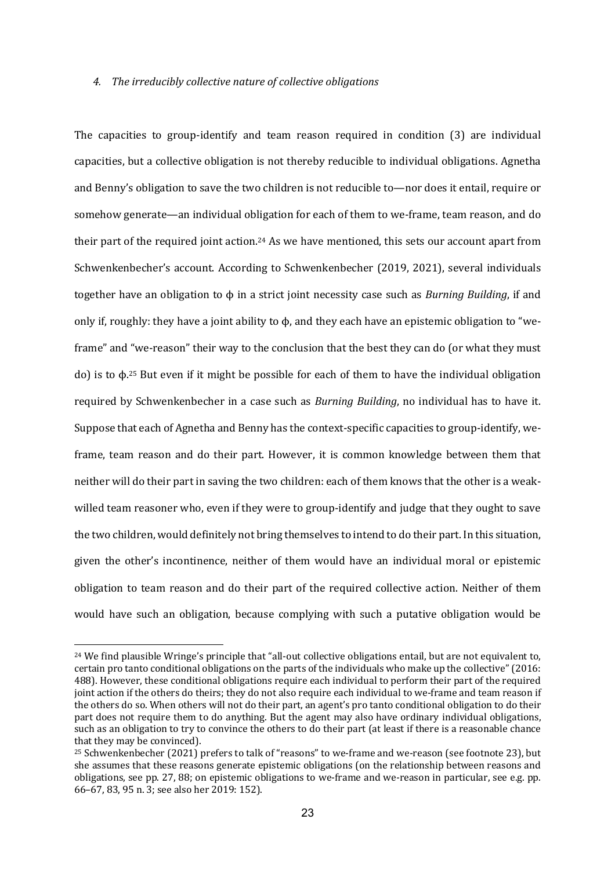#### 4. The irreducibly collective nature of collective obligations

The capacities to group-identify and team reason required in condition (3) are individual capacities, but a collective obligation is not thereby reducible to individual obligations. Agnetha and Benny's obligation to save the two children is not reducible to—nor does it entail, require or somehow generate—an individual obligation for each of them to we-frame, team reason, and do their part of the required joint action.<sup>24</sup> As we have mentioned, this sets our account apart from Schwenkenbecher's account. According to Schwenkenbecher (2019, 2021), several individuals together have an obligation to  $\phi$  in a strict joint necessity case such as *Burning Building*, if and only if, roughly: they have a joint ability to  $\phi$ , and they each have an epistemic obligation to "weframe" and "we-reason" their way to the conclusion that the best they can do (or what they must do) is to  $φ$ <sup>25</sup> But even if it might be possible for each of them to have the individual obligation required by Schwenkenbecher in a case such as *Burning Building*, no individual has to have it. Suppose that each of Agnetha and Benny has the context-specific capacities to group-identify, weframe, team reason and do their part. However, it is common knowledge between them that neither will do their part in saving the two children: each of them knows that the other is a weakwilled team reasoner who, even if they were to group-identify and judge that they ought to save the two children, would definitely not bring themselves to intend to do their part. In this situation, given the other's incontinence, neither of them would have an individual moral or epistemic obligation to team reason and do their part of the required collective action. Neither of them would have such an obligation, because complying with such a putative obligation would be

<sup>&</sup>lt;sup>24</sup> We find plausible Wringe's principle that "all-out collective obligations entail, but are not equivalent to, certain pro tanto conditional obligations on the parts of the individuals who make up the collective" (2016: 488). However, these conditional obligations require each individual to perform their part of the required joint action if the others do theirs; they do not also require each individual to we-frame and team reason if the others do so. When others will not do their part, an agent's pro tanto conditional obligation to do their part does not require them to do anything. But the agent may also have ordinary individual obligations, such as an obligation to try to convince the others to do their part (at least if there is a reasonable chance that they may be convinced).

<sup>&</sup>lt;sup>25</sup> Schwenkenbecher (2021) prefers to talk of "reasons" to we-frame and we-reason (see footnote 23), but she assumes that these reasons generate epistemic obligations (on the relationship between reasons and obligations, see pp. 27, 88; on epistemic obligations to we-frame and we-reason in particular, see e.g. pp. 66–67, 83, 95 n. 3; see also her 2019: 152).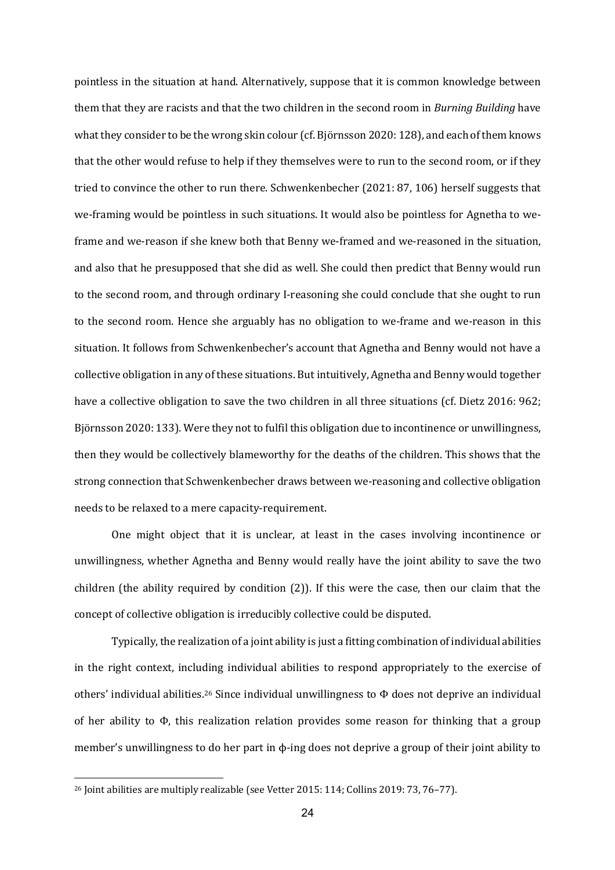pointless in the situation at hand. Alternatively, suppose that it is common knowledge between them that they are racists and that the two children in the second room in *Burning Building* have what they consider to be the wrong skin colour (cf. Björnsson 2020: 128), and each of them knows that the other would refuse to help if they themselves were to run to the second room, or if they tried to convince the other to run there. Schwenkenbecher  $(2021: 87, 106)$  herself suggests that we-framing would be pointless in such situations. It would also be pointless for Agnetha to weframe and we-reason if she knew both that Benny we-framed and we-reasoned in the situation, and also that he presupposed that she did as well. She could then predict that Benny would run to the second room, and through ordinary I-reasoning she could conclude that she ought to run to the second room. Hence she arguably has no obligation to we-frame and we-reason in this situation. It follows from Schwenkenbecher's account that Agnetha and Benny would not have a collective obligation in any of these situations. But intuitively, Agnetha and Benny would together have a collective obligation to save the two children in all three situations (cf. Dietz 2016: 962; Björnsson 2020: 133). Were they not to fulfil this obligation due to incontinence or unwillingness, then they would be collectively blameworthy for the deaths of the children. This shows that the strong connection that Schwenkenbecher draws between we-reasoning and collective obligation needs to be relaxed to a mere capacity-requirement.

One might object that it is unclear, at least in the cases involving incontinence or unwillingness, whether Agnetha and Benny would really have the joint ability to save the two children (the ability required by condition  $(2)$ ). If this were the case, then our claim that the concept of collective obligation is irreducibly collective could be disputed.

Typically, the realization of a joint ability is just a fitting combination of individual abilities in the right context, including individual abilities to respond appropriately to the exercise of others' individual abilities.<sup>26</sup> Since individual unwillingness to Φ does not deprive an individual of her ability to  $\Phi$ , this realization relation provides some reason for thinking that a group member's unwillingness to do her part in  $\phi$ -ing does not deprive a group of their joint ability to

 $26$  Joint abilities are multiply realizable (see Vetter 2015: 114; Collins 2019: 73, 76-77).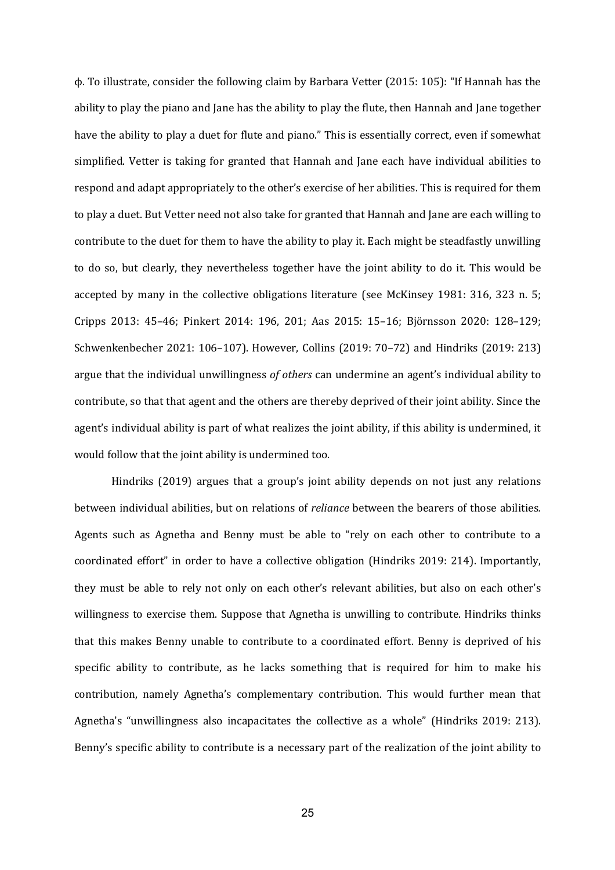$\phi$ . To illustrate, consider the following claim by Barbara Vetter (2015: 105): "If Hannah has the ability to play the piano and Jane has the ability to play the flute, then Hannah and Jane together have the ability to play a duet for flute and piano." This is essentially correct, even if somewhat simplified. Vetter is taking for granted that Hannah and Jane each have individual abilities to respond and adapt appropriately to the other's exercise of her abilities. This is required for them to play a duet. But Vetter need not also take for granted that Hannah and Jane are each willing to contribute to the duet for them to have the ability to play it. Each might be steadfastly unwilling to do so, but clearly, they nevertheless together have the joint ability to do it. This would be accepted by many in the collective obligations literature (see McKinsey 1981: 316, 323 n. 5; Cripps 2013: 45–46; Pinkert 2014: 196, 201; Aas 2015: 15–16; Björnsson 2020: 128–129; Schwenkenbecher 2021: 106–107). However, Collins (2019: 70–72) and Hindriks (2019: 213) argue that the individual unwillingness of others can undermine an agent's individual ability to contribute, so that that agent and the others are thereby deprived of their joint ability. Since the agent's individual ability is part of what realizes the joint ability, if this ability is undermined, it would follow that the joint ability is undermined too.

Hindriks  $(2019)$  argues that a group's joint ability depends on not just any relations between individual abilities, but on relations of *reliance* between the bearers of those abilities. Agents such as Agnetha and Benny must be able to "rely on each other to contribute to a coordinated effort" in order to have a collective obligation (Hindriks 2019: 214). Importantly, they must be able to rely not only on each other's relevant abilities, but also on each other's willingness to exercise them. Suppose that Agnetha is unwilling to contribute. Hindriks thinks that this makes Benny unable to contribute to a coordinated effort. Benny is deprived of his specific ability to contribute, as he lacks something that is required for him to make his contribution, namely Agnetha's complementary contribution. This would further mean that Agnetha's "unwillingness also incapacitates the collective as a whole" (Hindriks 2019: 213). Benny's specific ability to contribute is a necessary part of the realization of the joint ability to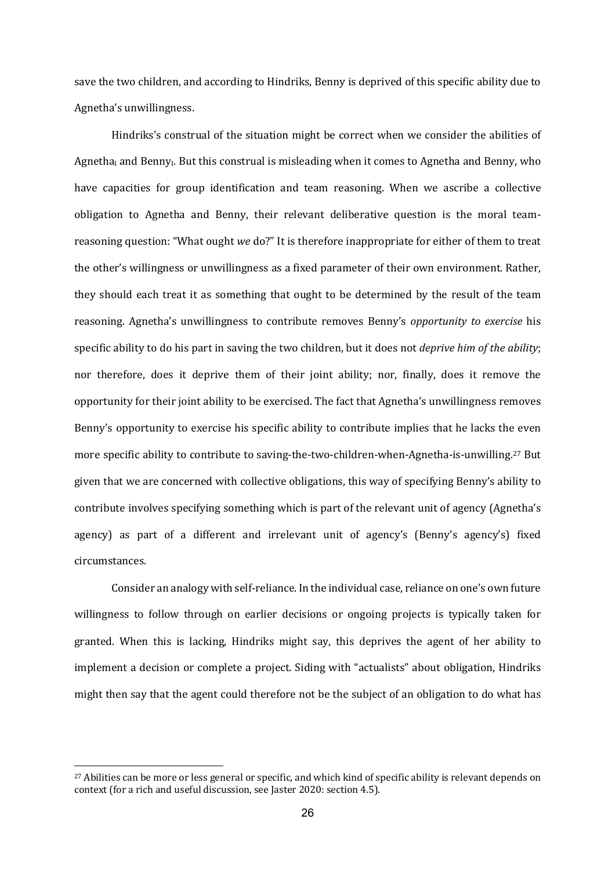save the two children, and according to Hindriks, Benny is deprived of this specific ability due to Agnetha's unwillingness.

Hindriks's construal of the situation might be correct when we consider the abilities of Agnetha<sub>l</sub> and Benny<sub>I</sub>. But this construal is misleading when it comes to Agnetha and Benny, who have capacities for group identification and team reasoning. When we ascribe a collective obligation to Agnetha and Benny, their relevant deliberative question is the moral teamreasoning question: "What ought we do?" It is therefore inappropriate for either of them to treat the other's willingness or unwillingness as a fixed parameter of their own environment. Rather, they should each treat it as something that ought to be determined by the result of the team reasoning. Agnetha's unwillingness to contribute removes Benny's *opportunity to exercise* his specific ability to do his part in saving the two children, but it does not *deprive him of the ability*; nor therefore, does it deprive them of their joint ability; nor, finally, does it remove the opportunity for their joint ability to be exercised. The fact that Agnetha's unwillingness removes Benny's opportunity to exercise his specific ability to contribute implies that he lacks the even more specific ability to contribute to saving-the-two-children-when-Agnetha-is-unwilling.<sup>27</sup> But given that we are concerned with collective obligations, this way of specifying Benny's ability to contribute involves specifying something which is part of the relevant unit of agency (Agnetha's agency) as part of a different and irrelevant unit of agency's (Benny's agency's) fixed circumstances.

Consider an analogy with self-reliance. In the individual case, reliance on one's own future willingness to follow through on earlier decisions or ongoing projects is typically taken for granted. When this is lacking, Hindriks might say, this deprives the agent of her ability to implement a decision or complete a project. Siding with "actualists" about obligation, Hindriks might then say that the agent could therefore not be the subject of an obligation to do what has

<sup>&</sup>lt;sup>27</sup> Abilities can be more or less general or specific, and which kind of specific ability is relevant depends on context (for a rich and useful discussion, see Jaster 2020: section 4.5).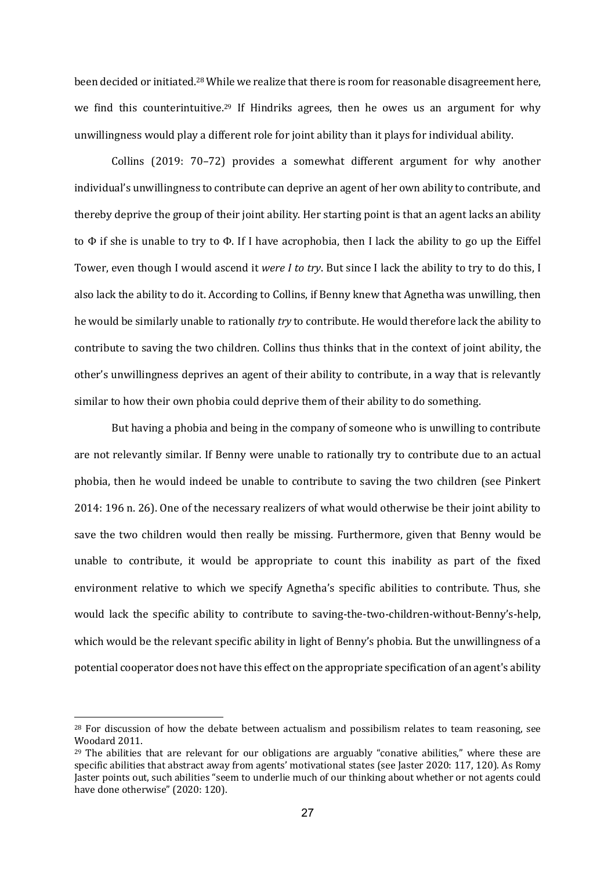been decided or initiated.<sup>28</sup> While we realize that there is room for reasonable disagreement here, we find this counterintuitive.<sup>29</sup> If Hindriks agrees, then he owes us an argument for why unwillingness would play a different role for joint ability than it plays for individual ability.

Collins  $(2019: 70-72)$  provides a somewhat different argument for why another individual's unwillingness to contribute can deprive an agent of her own ability to contribute, and thereby deprive the group of their joint ability. Her starting point is that an agent lacks an ability to  $\Phi$  if she is unable to try to  $\Phi$ . If I have acrophobia, then I lack the ability to go up the Eiffel Tower, even though I would ascend it *were I to try*. But since I lack the ability to try to do this, I also lack the ability to do it. According to Collins, if Benny knew that Agnetha was unwilling, then he would be similarly unable to rationally *try* to contribute. He would therefore lack the ability to contribute to saving the two children. Collins thus thinks that in the context of joint ability, the other's unwillingness deprives an agent of their ability to contribute, in a way that is relevantly similar to how their own phobia could deprive them of their ability to do something.

But having a phobia and being in the company of someone who is unwilling to contribute are not relevantly similar. If Benny were unable to rationally try to contribute due to an actual phobia, then he would indeed be unable to contribute to saving the two children (see Pinkert 2014: 196 n. 26). One of the necessary realizers of what would otherwise be their joint ability to save the two children would then really be missing. Furthermore, given that Benny would be unable to contribute, it would be appropriate to count this inability as part of the fixed environment relative to which we specify Agnetha's specific abilities to contribute. Thus, she would lack the specific ability to contribute to saving-the-two-children-without-Benny's-help, which would be the relevant specific ability in light of Benny's phobia. But the unwillingness of a potential cooperator does not have this effect on the appropriate specification of an agent's ability

 $28$  For discussion of how the debate between actualism and possibilism relates to team reasoning, see Woodard 2011.

 $29$  The abilities that are relevant for our obligations are arguably "conative abilities," where these are specific abilities that abstract away from agents' motivational states (see Jaster 2020: 117, 120). As Romy Jaster points out, such abilities "seem to underlie much of our thinking about whether or not agents could have done otherwise" (2020: 120).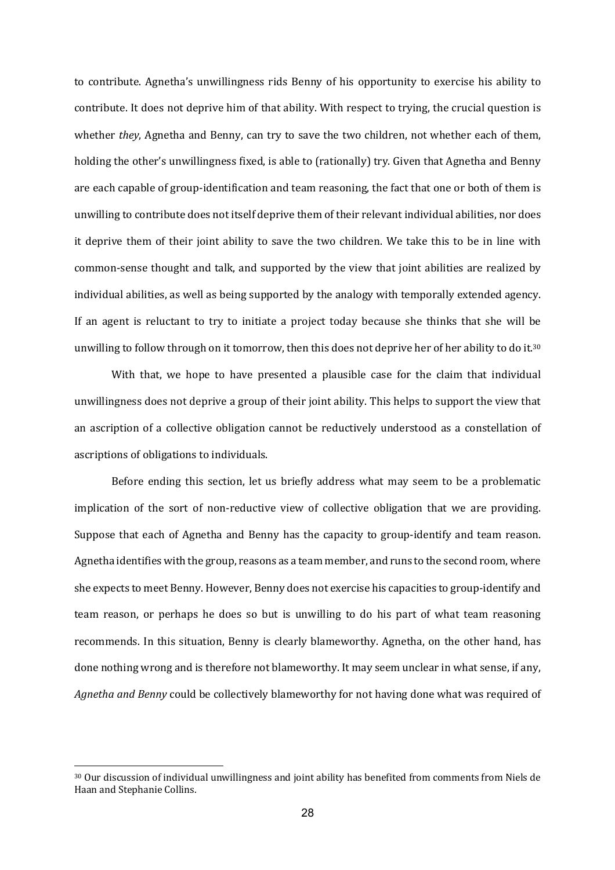to contribute. Agnetha's unwillingness rids Benny of his opportunity to exercise his ability to contribute. It does not deprive him of that ability. With respect to trying, the crucial question is whether *they*, Agnetha and Benny, can try to save the two children, not whether each of them, holding the other's unwillingness fixed, is able to (rationally) try. Given that Agnetha and Benny are each capable of group-identification and team reasoning, the fact that one or both of them is unwilling to contribute does not itself deprive them of their relevant individual abilities, nor does it deprive them of their joint ability to save the two children. We take this to be in line with common-sense thought and talk, and supported by the view that joint abilities are realized by individual abilities, as well as being supported by the analogy with temporally extended agency. If an agent is reluctant to try to initiate a project today because she thinks that she will be unwilling to follow through on it tomorrow, then this does not deprive her of her ability to do it.<sup>30</sup>

With that, we hope to have presented a plausible case for the claim that individual unwillingness does not deprive a group of their joint ability. This helps to support the view that an ascription of a collective obligation cannot be reductively understood as a constellation of ascriptions of obligations to individuals.

Before ending this section, let us briefly address what may seem to be a problematic implication of the sort of non-reductive view of collective obligation that we are providing. Suppose that each of Agnetha and Benny has the capacity to group-identify and team reason. Agnetha identifies with the group, reasons as a team member, and runs to the second room, where she expects to meet Benny. However, Benny does not exercise his capacities to group-identify and team reason, or perhaps he does so but is unwilling to do his part of what team reasoning recommends. In this situation, Benny is clearly blameworthy. Agnetha, on the other hand, has done nothing wrong and is therefore not blameworthy. It may seem unclear in what sense, if any, Agnetha and Benny could be collectively blameworthy for not having done what was required of

<sup>30</sup> Our discussion of individual unwillingness and joint ability has benefited from comments from Niels de Haan and Stephanie Collins.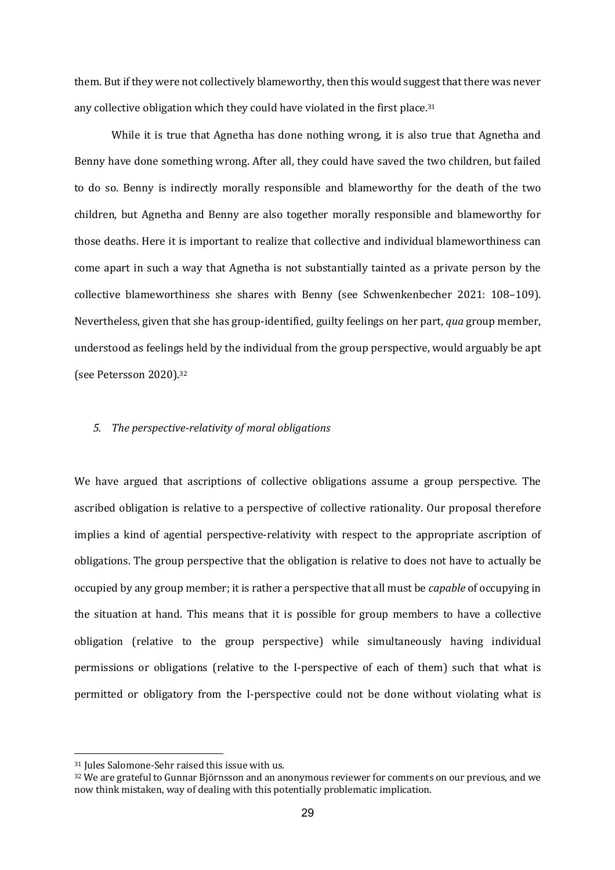them. But if they were not collectively blameworthy, then this would suggest that there was never any collective obligation which they could have violated in the first place.<sup>31</sup>

While it is true that Agnetha has done nothing wrong, it is also true that Agnetha and Benny have done something wrong. After all, they could have saved the two children, but failed to do so. Benny is indirectly morally responsible and blameworthy for the death of the two children, but Agnetha and Benny are also together morally responsible and blameworthy for those deaths. Here it is important to realize that collective and individual blameworthiness can come apart in such a way that Agnetha is not substantially tainted as a private person by the collective blameworthiness she shares with Benny (see Schwenkenbecher 2021: 108-109). Nevertheless, given that she has group-identified, guilty feelings on her part, *qua* group member, understood as feelings held by the individual from the group perspective, would arguably be apt (see Petersson 2020).32

# 5. The perspective-relativity of moral obligations

We have argued that ascriptions of collective obligations assume a group perspective. The ascribed obligation is relative to a perspective of collective rationality. Our proposal therefore implies a kind of agential perspective-relativity with respect to the appropriate ascription of obligations. The group perspective that the obligation is relative to does not have to actually be occupied by any group member; it is rather a perspective that all must be *capable* of occupying in the situation at hand. This means that it is possible for group members to have a collective obligation (relative to the group perspective) while simultaneously having individual permissions or obligations (relative to the I-perspective of each of them) such that what is permitted or obligatory from the I-perspective could not be done without violating what is

 $31$  Jules Salomone-Sehr raised this issue with us.

<sup>&</sup>lt;sup>32</sup> We are grateful to Gunnar Björnsson and an anonymous reviewer for comments on our previous, and we now think mistaken, way of dealing with this potentially problematic implication.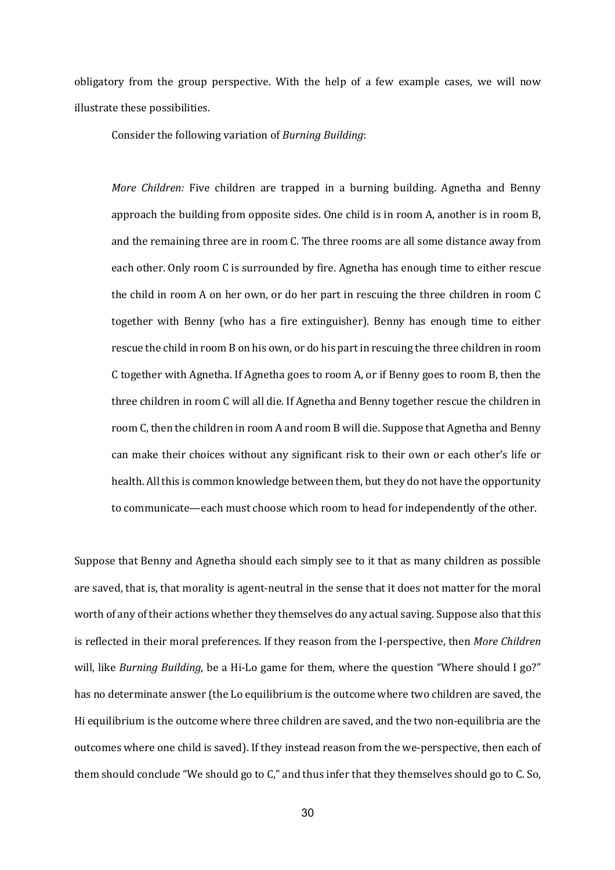obligatory from the group perspective. With the help of a few example cases, we will now illustrate these possibilities.

Consider the following variation of *Burning Building*:

*More Children:* Five children are trapped in a burning building. Agnetha and Benny approach the building from opposite sides. One child is in room A, another is in room B, and the remaining three are in room C. The three rooms are all some distance away from each other. Only room C is surrounded by fire. Agnetha has enough time to either rescue the child in room A on her own, or do her part in rescuing the three children in room C together with Benny (who has a fire extinguisher). Benny has enough time to either rescue the child in room B on his own, or do his part in rescuing the three children in room C together with Agnetha. If Agnetha goes to room A, or if Benny goes to room B, then the three children in room C will all die. If Agnetha and Benny together rescue the children in room C, then the children in room A and room B will die. Suppose that Agnetha and Benny can make their choices without any significant risk to their own or each other's life or health. All this is common knowledge between them, but they do not have the opportunity to communicate—each must choose which room to head for independently of the other.

Suppose that Benny and Agnetha should each simply see to it that as many children as possible are saved, that is, that morality is agent-neutral in the sense that it does not matter for the moral worth of any of their actions whether they themselves do any actual saving. Suppose also that this is reflected in their moral preferences. If they reason from the I-perspective, then *More Children* will, like *Burning Building*, be a Hi-Lo game for them, where the question "Where should I go?" has no determinate answer (the Lo equilibrium is the outcome where two children are saved, the Hi equilibrium is the outcome where three children are saved, and the two non-equilibria are the outcomes where one child is saved). If they instead reason from the we-perspective, then each of them should conclude "We should go to  $C$ ," and thus infer that they themselves should go to  $C$ . So,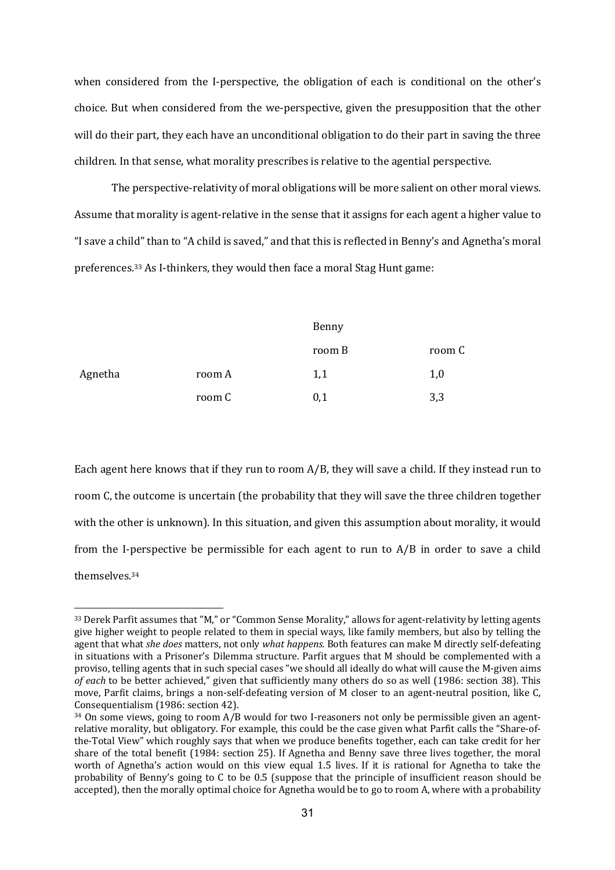when considered from the I-perspective, the obligation of each is conditional on the other's choice. But when considered from the we-perspective, given the presupposition that the other will do their part, they each have an unconditional obligation to do their part in saving the three children. In that sense, what morality prescribes is relative to the agential perspective.

The perspective-relativity of moral obligations will be more salient on other moral views. Assume that morality is agent-relative in the sense that it assigns for each agent a higher value to "I save a child" than to "A child is saved," and that this is reflected in Benny's and Agnetha's moral preferences.<sup>33</sup> As I-thinkers, they would then face a moral Stag Hunt game:

|         |        | Benny  |        |
|---------|--------|--------|--------|
|         |        | room B | room C |
| Agnetha | room A | 1,1    | 1,0    |
|         | room C | 0,1    | 3,3    |

Each agent here knows that if they run to room  $A/B$ , they will save a child. If they instead run to room C, the outcome is uncertain (the probability that they will save the three children together with the other is unknown). In this situation, and given this assumption about morality, it would from the I-perspective be permissible for each agent to run to  $A/B$  in order to save a child themselves. 34

<sup>33</sup> Derek Parfit assumes that "M," or "Common Sense Morality," allows for agent-relativity by letting agents give higher weight to people related to them in special ways, like family members, but also by telling the agent that what *she does* matters, not only *what happens*. Both features can make M directly self-defeating in situations with a Prisoner's Dilemma structure. Parfit argues that M should be complemented with a proviso, telling agents that in such special cases "we should all ideally do what will cause the M-given aims *of each* to be better achieved," given that sufficiently many others do so as well (1986: section 38). This move, Parfit claims, brings a non-self-defeating version of M closer to an agent-neutral position, like C, Consequentialism (1986: section 42).

 $34$  On some views, going to room A/B would for two I-reasoners not only be permissible given an agentrelative morality, but obligatory. For example, this could be the case given what Parfit calls the "Share-ofthe-Total View" which roughly says that when we produce benefits together, each can take credit for her share of the total benefit  $(1984: section 25)$ . If Agnetha and Benny save three lives together, the moral worth of Agnetha's action would on this view equal 1.5 lives. If it is rational for Agnetha to take the probability of Benny's going to  $C$  to be 0.5 (suppose that the principle of insufficient reason should be accepted), then the morally optimal choice for Agnetha would be to go to room A, where with a probability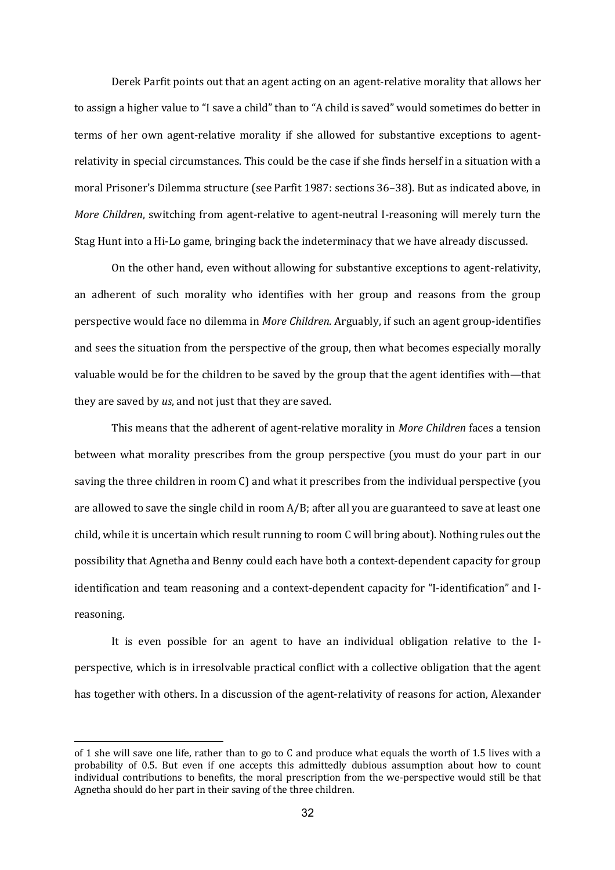Derek Parfit points out that an agent acting on an agent-relative morality that allows her to assign a higher value to "I save a child" than to "A child is saved" would sometimes do better in terms of her own agent-relative morality if she allowed for substantive exceptions to agentrelativity in special circumstances. This could be the case if she finds herself in a situation with a moral Prisoner's Dilemma structure (see Parfit 1987: sections 36-38). But as indicated above, in *More Children*, switching from agent-relative to agent-neutral I-reasoning will merely turn the Stag Hunt into a Hi-Lo game, bringing back the indeterminacy that we have already discussed.

On the other hand, even without allowing for substantive exceptions to agent-relativity, an adherent of such morality who identifies with her group and reasons from the group perspective would face no dilemma in *More Children*. Arguably, if such an agent group-identifies and sees the situation from the perspective of the group, then what becomes especially morally valuable would be for the children to be saved by the group that the agent identifies with—that they are saved by *us*, and not just that they are saved.

This means that the adherent of agent-relative morality in *More Children* faces a tension between what morality prescribes from the group perspective (you must do your part in our saving the three children in room C) and what it prescribes from the individual perspective (you are allowed to save the single child in room  $A/B$ ; after all you are guaranteed to save at least one child, while it is uncertain which result running to room C will bring about). Nothing rules out the possibility that Agnetha and Benny could each have both a context-dependent capacity for group identification and team reasoning and a context-dependent capacity for "I-identification" and Ireasoning. 

It is even possible for an agent to have an individual obligation relative to the Iperspective, which is in irresolvable practical conflict with a collective obligation that the agent has together with others. In a discussion of the agent-relativity of reasons for action, Alexander

of 1 she will save one life, rather than to go to C and produce what equals the worth of 1.5 lives with a probability of 0.5. But even if one accepts this admittedly dubious assumption about how to count individual contributions to benefits, the moral prescription from the we-perspective would still be that Agnetha should do her part in their saving of the three children.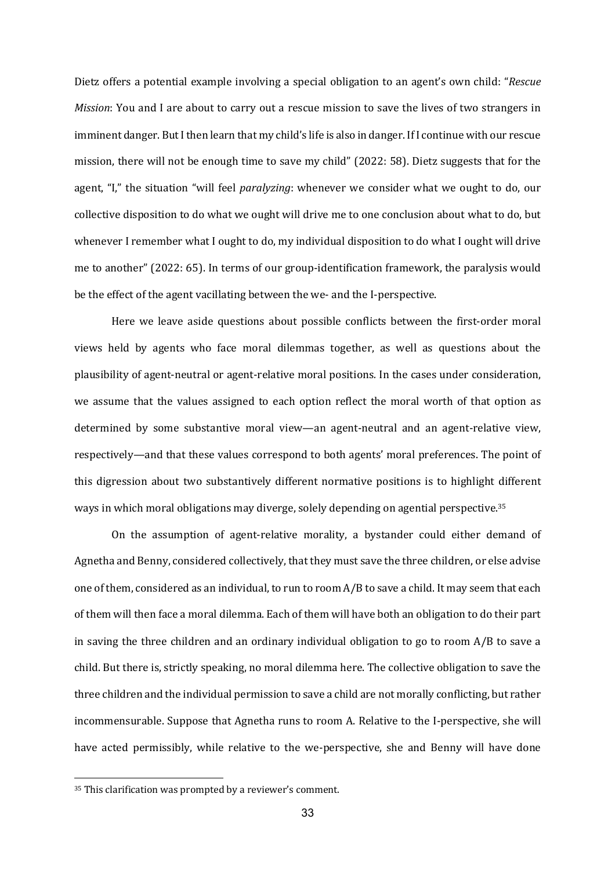Dietz offers a potential example involving a special obligation to an agent's own child: "*Rescue Mission*: You and I are about to carry out a rescue mission to save the lives of two strangers in imminent danger. But I then learn that my child's life is also in danger. If I continue with our rescue mission, there will not be enough time to save my child"  $(2022: 58)$ . Dietz suggests that for the agent, "I," the situation "will feel *paralyzing*: whenever we consider what we ought to do, our collective disposition to do what we ought will drive me to one conclusion about what to do, but whenever I remember what I ought to do, my individual disposition to do what I ought will drive me to another" (2022: 65). In terms of our group-identification framework, the paralysis would be the effect of the agent vacillating between the we- and the I-perspective.

Here we leave aside questions about possible conflicts between the first-order moral views held by agents who face moral dilemmas together, as well as questions about the plausibility of agent-neutral or agent-relative moral positions. In the cases under consideration, we assume that the values assigned to each option reflect the moral worth of that option as determined by some substantive moral view—an agent-neutral and an agent-relative view, respectively—and that these values correspond to both agents' moral preferences. The point of this digression about two substantively different normative positions is to highlight different ways in which moral obligations may diverge, solely depending on agential perspective.<sup>35</sup>

On the assumption of agent-relative morality, a bystander could either demand of Agnetha and Benny, considered collectively, that they must save the three children, or else advise one of them, considered as an individual, to run to room  $A/B$  to save a child. It may seem that each of them will then face a moral dilemma. Each of them will have both an obligation to do their part in saving the three children and an ordinary individual obligation to go to room  $A/B$  to save a child. But there is, strictly speaking, no moral dilemma here. The collective obligation to save the three children and the individual permission to save a child are not morally conflicting, but rather incommensurable. Suppose that Agnetha runs to room A. Relative to the I-perspective, she will have acted permissibly, while relative to the we-perspective, she and Benny will have done

<sup>&</sup>lt;sup>35</sup> This clarification was prompted by a reviewer's comment.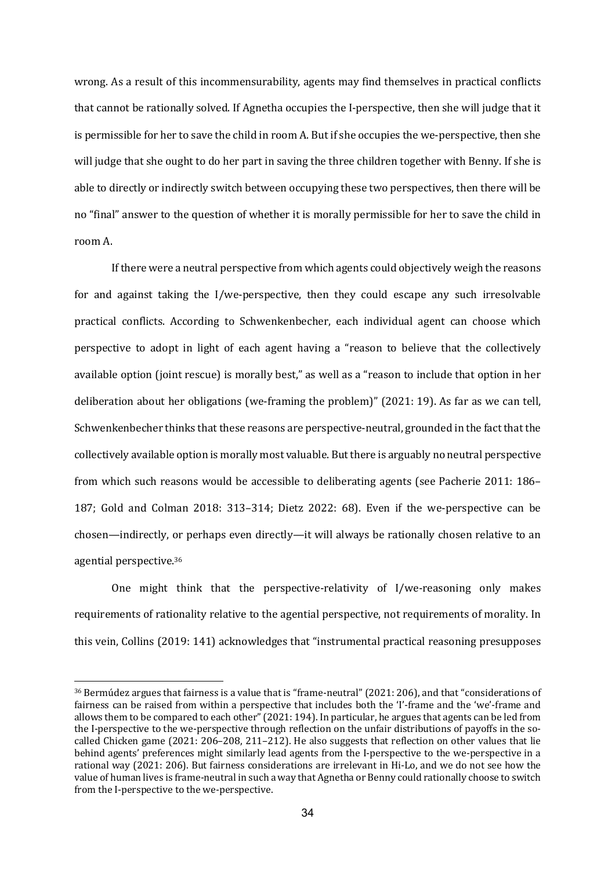wrong. As a result of this incommensurability, agents may find themselves in practical conflicts that cannot be rationally solved. If Agnetha occupies the I-perspective, then she will judge that it is permissible for her to save the child in room A. But if she occupies the we-perspective, then she will judge that she ought to do her part in saving the three children together with Benny. If she is able to directly or indirectly switch between occupying these two perspectives, then there will be no "final" answer to the question of whether it is morally permissible for her to save the child in room A. 

If there were a neutral perspective from which agents could objectively weigh the reasons for and against taking the  $I/w$ e-perspective, then they could escape any such irresolvable practical conflicts. According to Schwenkenbecher, each individual agent can choose which perspective to adopt in light of each agent having a "reason to believe that the collectively available option (joint rescue) is morally best," as well as a "reason to include that option in her deliberation about her obligations (we-framing the problem)" (2021: 19). As far as we can tell, Schwenkenbecher thinks that these reasons are perspective-neutral, grounded in the fact that the collectively available option is morally most valuable. But there is arguably no neutral perspective from which such reasons would be accessible to deliberating agents (see Pacherie 2011: 186– 187; Gold and Colman 2018:  $313-314$ ; Dietz 2022: 68). Even if the we-perspective can be chosen—indirectly, or perhaps even directly—it will always be rationally chosen relative to an agential perspective.<sup>36</sup>

One might think that the perspective-relativity of  $I/we$ -reasoning only makes requirements of rationality relative to the agential perspective, not requirements of morality. In this vein, Collins (2019: 141) acknowledges that "instrumental practical reasoning presupposes

 $36$  Bermúdez argues that fairness is a value that is "frame-neutral" (2021: 206), and that "considerations of fairness can be raised from within a perspective that includes both the 'I'-frame and the 'we'-frame and allows them to be compared to each other" (2021: 194). In particular, he argues that agents can be led from the I-perspective to the we-perspective through reflection on the unfair distributions of payoffs in the socalled Chicken game  $(2021: 206-208, 211-212)$ . He also suggests that reflection on other values that lie behind agents' preferences might similarly lead agents from the I-perspective to the we-perspective in a rational way (2021: 206). But fairness considerations are irrelevant in Hi-Lo, and we do not see how the value of human lives is frame-neutral in such a way that Agnetha or Benny could rationally choose to switch from the I-perspective to the we-perspective.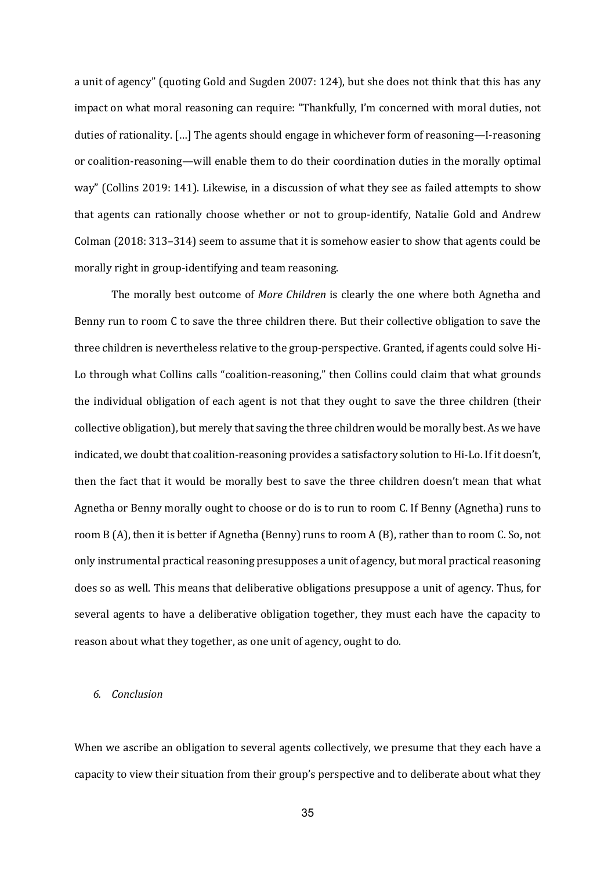a unit of agency" (quoting Gold and Sugden 2007: 124), but she does not think that this has any impact on what moral reasoning can require: "Thankfully, I'm concerned with moral duties, not duties of rationality. [...] The agents should engage in whichever form of reasoning—I-reasoning or coalition-reasoning—will enable them to do their coordination duties in the morally optimal way" (Collins 2019: 141). Likewise, in a discussion of what they see as failed attempts to show that agents can rationally choose whether or not to group-identify, Natalie Gold and Andrew Colman (2018: 313–314) seem to assume that it is somehow easier to show that agents could be morally right in group-identifying and team reasoning.

The morally best outcome of *More Children* is clearly the one where both Agnetha and Benny run to room C to save the three children there. But their collective obligation to save the three children is nevertheless relative to the group-perspective. Granted, if agents could solve Hi-Lo through what Collins calls "coalition-reasoning," then Collins could claim that what grounds the individual obligation of each agent is not that they ought to save the three children (their collective obligation), but merely that saving the three children would be morally best. As we have indicated, we doubt that coalition-reasoning provides a satisfactory solution to Hi-Lo. If it doesn't, then the fact that it would be morally best to save the three children doesn't mean that what Agnetha or Benny morally ought to choose or do is to run to room C. If Benny (Agnetha) runs to room B (A), then it is better if Agnetha (Benny) runs to room A (B), rather than to room C. So, not only instrumental practical reasoning presupposes a unit of agency, but moral practical reasoning does so as well. This means that deliberative obligations presuppose a unit of agency. Thus, for several agents to have a deliberative obligation together, they must each have the capacity to reason about what they together, as one unit of agency, ought to do.

# *6. Conclusion*

When we ascribe an obligation to several agents collectively, we presume that they each have a capacity to view their situation from their group's perspective and to deliberate about what they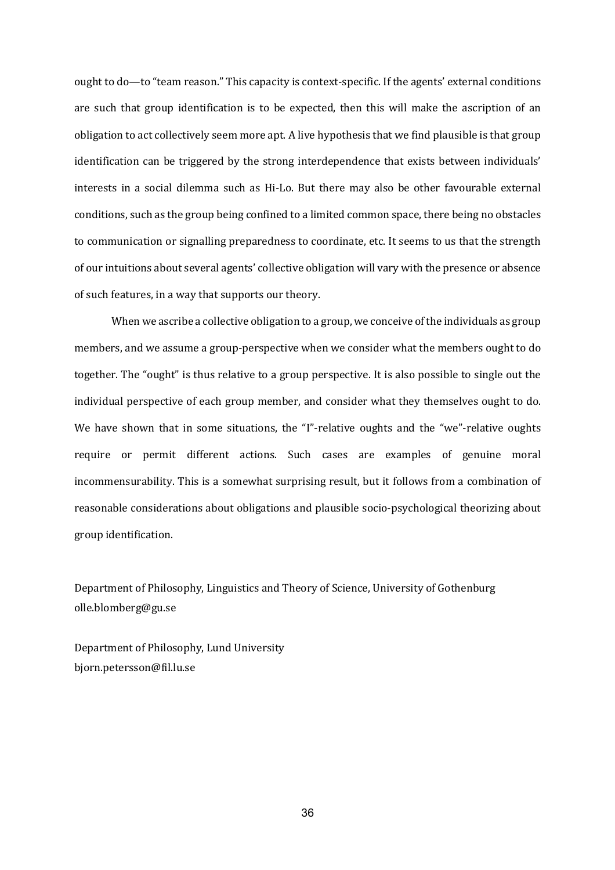ought to do—to "team reason." This capacity is context-specific. If the agents' external conditions are such that group identification is to be expected, then this will make the ascription of an obligation to act collectively seem more apt. A live hypothesis that we find plausible is that group identification can be triggered by the strong interdependence that exists between individuals' interests in a social dilemma such as Hi-Lo. But there may also be other favourable external conditions, such as the group being confined to a limited common space, there being no obstacles to communication or signalling preparedness to coordinate, etc. It seems to us that the strength of our intuitions about several agents' collective obligation will vary with the presence or absence of such features, in a way that supports our theory.

When we ascribe a collective obligation to a group, we conceive of the individuals as group members, and we assume a group-perspective when we consider what the members ought to do together. The "ought" is thus relative to a group perspective. It is also possible to single out the individual perspective of each group member, and consider what they themselves ought to do. We have shown that in some situations, the "I"-relative oughts and the "we"-relative oughts require or permit different actions. Such cases are examples of genuine moral incommensurability. This is a somewhat surprising result, but it follows from a combination of reasonable considerations about obligations and plausible socio-psychological theorizing about group identification.

Department of Philosophy, Linguistics and Theory of Science, University of Gothenburg olle.blomberg@gu.se

Department of Philosophy, Lund University bjorn.petersson@fil.lu.se

36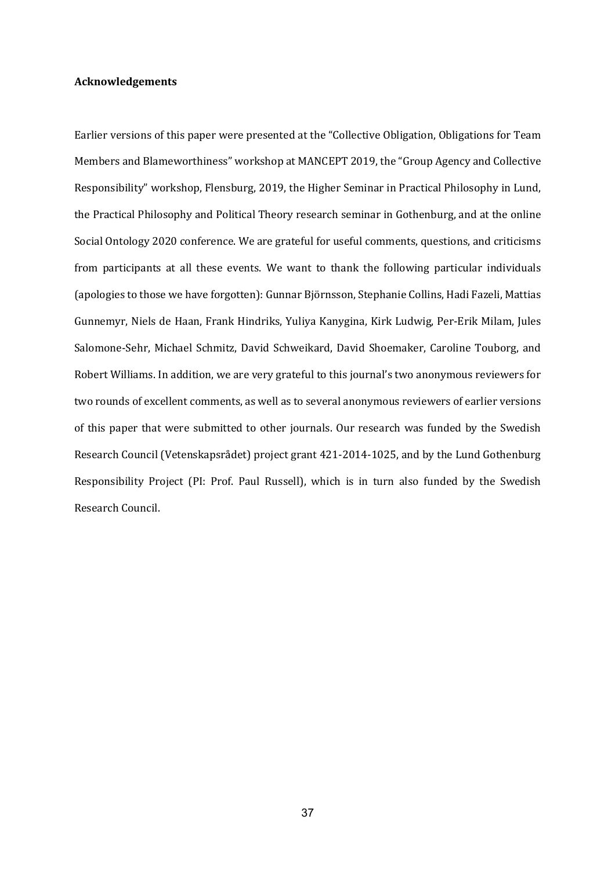### **Acknowledgements**

Earlier versions of this paper were presented at the "Collective Obligation, Obligations for Team Members and Blameworthiness" workshop at MANCEPT 2019, the "Group Agency and Collective Responsibility" workshop, Flensburg, 2019, the Higher Seminar in Practical Philosophy in Lund, the Practical Philosophy and Political Theory research seminar in Gothenburg, and at the online Social Ontology 2020 conference. We are grateful for useful comments, questions, and criticisms from participants at all these events. We want to thank the following particular individuals (apologies to those we have forgotten): Gunnar Björnsson, Stephanie Collins, Hadi Fazeli, Mattias Gunnemyr, Niels de Haan, Frank Hindriks, Yuliya Kanygina, Kirk Ludwig, Per-Erik Milam, Jules Salomone-Sehr, Michael Schmitz, David Schweikard, David Shoemaker, Caroline Touborg, and Robert Williams. In addition, we are very grateful to this journal's two anonymous reviewers for two rounds of excellent comments, as well as to several anonymous reviewers of earlier versions of this paper that were submitted to other journals. Our research was funded by the Swedish Research Council (Vetenskapsrådet) project grant 421-2014-1025, and by the Lund Gothenburg Responsibility Project (PI: Prof. Paul Russell), which is in turn also funded by the Swedish Research Council.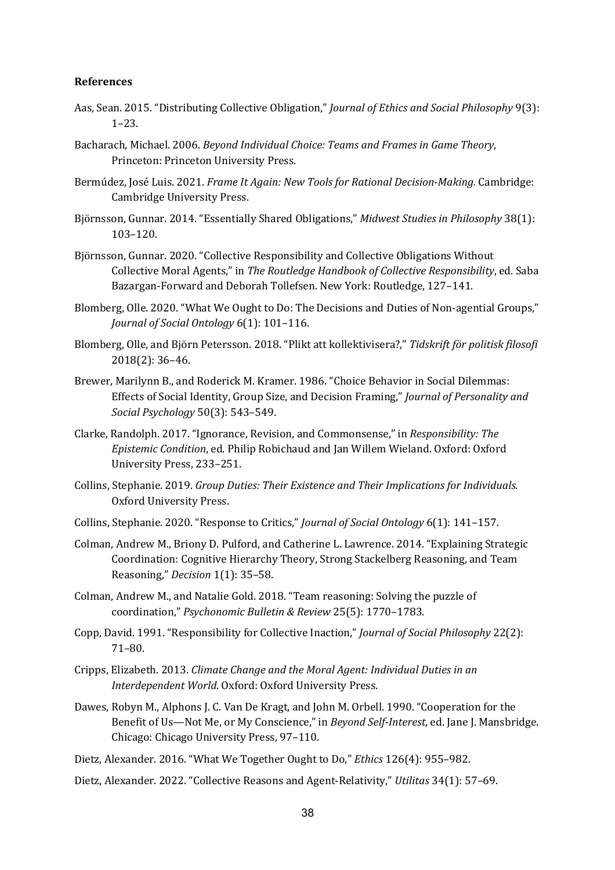# **References**

- Aas, Sean. 2015. "Distributing Collective Obligation," *Journal of Ethics and Social Philosophy* 9(3): 1–23.
- Bacharach, Michael. 2006. *Beyond Individual Choice: Teams and Frames in Game Theory*, Princeton: Princeton University Press.
- Bermúdez, José Luis. 2021. *Frame It Again: New Tools for Rational Decision-Making.* Cambridge: Cambridge University Press.
- Björnsson, Gunnar. 2014. "Essentially Shared Obligations," Midwest Studies in Philosophy 38(1): 103–120.
- Björnsson, Gunnar. 2020. "Collective Responsibility and Collective Obligations Without Collective Moral Agents," in *The Routledge Handbook of Collective Responsibility*, ed. Saba Bazargan-Forward and Deborah Tollefsen. New York: Routledge, 127-141.
- Blomberg, Olle. 2020. "What We Ought to Do: The Decisions and Duties of Non-agential Groups," *Journal of Social Ontology* 6(1): 101-116.
- Blomberg, Olle, and Björn Petersson. 2018. "Plikt att kollektivisera?," Tidskrift för politisk filosofi 2018(2): 36–46.
- Brewer, Marilynn B., and Roderick M. Kramer. 1986. "Choice Behavior in Social Dilemmas: Effects of Social Identity, Group Size, and Decision Framing," *Journal of Personality and Social Psychology* 50(3): 543–549.
- Clarke, Randolph. 2017. "Ignorance, Revision, and Commonsense," in *Responsibility: The Epistemic Condition*, ed. Philip Robichaud and Jan Willem Wieland. Oxford: Oxford University Press, 233-251.
- Collins, Stephanie. 2019. *Group Duties: Their Existence and Their Implications for Individuals.* Oxford University Press.
- Collins, Stephanie. 2020. "Response to Critics," *Journal of Social Ontology* 6(1): 141-157.
- Colman, Andrew M., Briony D. Pulford, and Catherine L. Lawrence. 2014. "Explaining Strategic Coordination: Cognitive Hierarchy Theory, Strong Stackelberg Reasoning, and Team Reasoning," *Decision* 1(1): 35–58.
- Colman, Andrew M., and Natalie Gold. 2018. "Team reasoning: Solving the puzzle of coordination," *Psychonomic Bulletin & Review* 25(5): 1770–1783.
- Copp, David. 1991. "Responsibility for Collective Inaction," *Journal of Social Philosophy* 22(2): 71–80.
- Cripps, Elizabeth. 2013. *Climate Change and the Moral Agent: Individual Duties in an Interdependent World.* Oxford: Oxford University Press.
- Dawes, Robyn M., Alphons I. C. Van De Kragt, and John M. Orbell, 1990. "Cooperation for the Benefit of Us—Not Me, or My Conscience," in *Beyond Self-Interest*, ed. Jane J. Mansbridge. Chicago: Chicago University Press, 97-110.
- Dietz, Alexander. 2016. "What We Together Ought to Do," *Ethics* 126(4): 955–982.
- Dietz, Alexander. 2022. "Collective Reasons and Agent-Relativity," Utilitas 34(1): 57-69.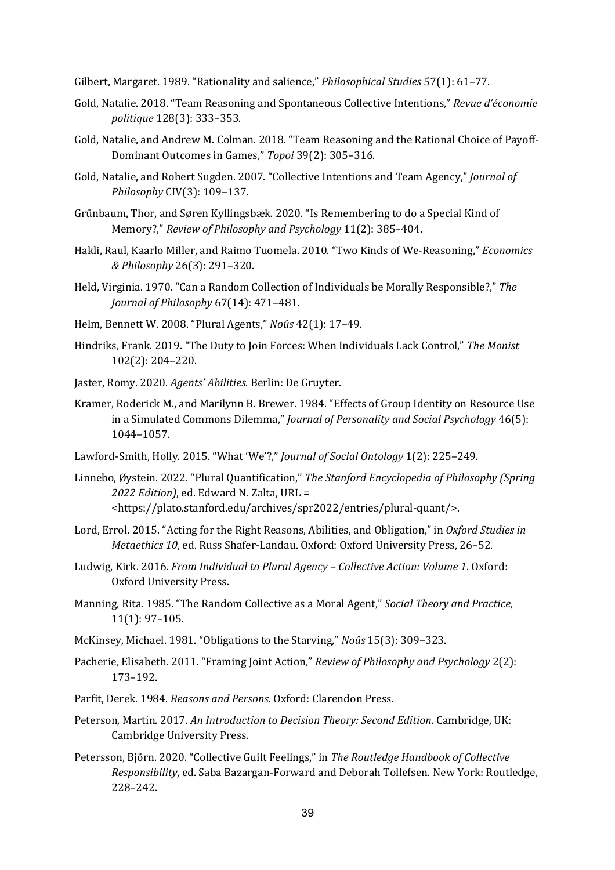Gilbert, Margaret. 1989. "Rationality and salience," *Philosophical Studies* 57(1): 61–77.

- Gold, Natalie. 2018. "Team Reasoning and Spontaneous Collective Intentions," *Revue d'économie politique* 128(3): 333–353.
- Gold, Natalie, and Andrew M. Colman. 2018. "Team Reasoning and the Rational Choice of Payoff-Dominant Outcomes in Games," Topoi 39(2): 305-316.
- Gold, Natalie, and Robert Sugden. 2007. "Collective Intentions and Team Agency," *Journal of Philosophy* CIV(3): 109–137.
- Grünbaum, Thor, and Søren Kyllingsbæk. 2020. "Is Remembering to do a Special Kind of Memory?," *Review of Philosophy and Psychology* 11(2): 385-404.
- Hakli, Raul, Kaarlo Miller, and Raimo Tuomela. 2010. "Two Kinds of We-Reasoning," *Economics & Philosophy* 26(3): 291–320.
- Held, Virginia. 1970. "Can a Random Collection of Individuals be Morally Responsible?," The *Journal of Philosophy* 67(14): 471–481.
- Helm, Bennett W. 2008. "Plural Agents," *Noûs* 42(1): 17-49.
- Hindriks, Frank. 2019. "The Duty to Join Forces: When Individuals Lack Control," The Monist 102(2): 204–220.
- Jaster, Romy. 2020. *Agents' Abilities*. Berlin: De Gruyter.
- Kramer, Roderick M., and Marilynn B. Brewer. 1984. "Effects of Group Identity on Resource Use in a Simulated Commons Dilemma," *Journal of Personality and Social Psychology* 46(5): 1044–1057.
- Lawford-Smith, Holly. 2015. "What 'We'?," *Journal of Social Ontology* 1(2): 225-249.
- Linnebo, Øystein. 2022. "Plural Quantification," *The Stanford Encyclopedia of Philosophy (Spring* 2022 Edition), ed. Edward N. Zalta, URL = <https://plato.stanford.edu/archives/spr2022/entries/plural-quant/>.
- Lord, Errol. 2015. "Acting for the Right Reasons, Abilities, and Obligation," in *Oxford Studies in Metaethics 10, ed. Russ Shafer-Landau. Oxford: Oxford University Press, 26-52.*
- Ludwig, Kirk. 2016. *From Individual to Plural Agency Collective Action: Volume 1.* Oxford: Oxford University Press.
- Manning, Rita. 1985. "The Random Collective as a Moral Agent," *Social Theory and Practice*,  $11(1): 97-105.$
- McKinsey, Michael. 1981. "Obligations to the Starving," *Noûs* 15(3): 309–323.
- Pacherie, Elisabeth. 2011. "Framing Joint Action," *Review of Philosophy and Psychology* 2(2): 173–192.
- Parfit, Derek. 1984. *Reasons and Persons.* Oxford: Clarendon Press.
- Peterson, Martin. 2017. An Introduction to Decision Theory: Second Edition. Cambridge, UK: Cambridge University Press.
- Petersson, Björn. 2020. "Collective Guilt Feelings," in *The Routledge Handbook of Collective Responsibility*, ed. Saba Bazargan-Forward and Deborah Tollefsen. New York: Routledge, 228–242.